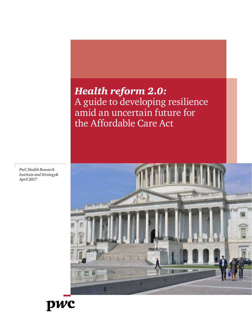# *Health reform 2.0:*  A guide to developing resilience amid an uncertain future for the Affordable Care Act



*PwC Health Research Institute and Strategy& April 2017*

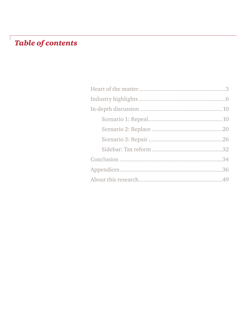# **Table of contents**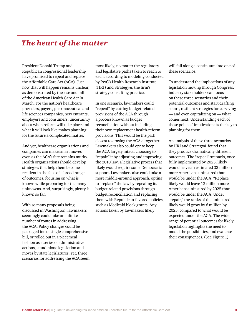# *The heart of the matter*

President Donald Trump and Republican congressional leadership have promised to repeal and replace the Affordable Care Act (ACA). Just how that will happen remains unclear, as demonstrated by the rise and fall of the American Health Care Act in March. For the nation's healthcare providers, payers, pharmaceutical and life sciences companies, new entrants, employers and consumers, uncertainty about when reform will take place and what it will look like makes planning for the future a complicated matter.

And yet, healthcare organizations and companies can make smart moves even as the ACA's fate remains murky. Health organizations should develop strategies that help them become resilient in the face of a broad range of outcomes, focusing on what is known while preparing for the many unknowns. And, surprisingly, plenty is known so far.

With so many proposals being discussed in Washington, lawmakers seemingly could take an infinite number of routes in addressing the ACA. Policy changes could be packaged into a single comprehensive bill, or rolled out in a piecemeal fashion as a series of administrative actions, stand-alone legislation and moves by state legislatures. Yet, three scenarios for addressing the ACA seem most likely, no matter the regulatory and legislative paths taken to reach to each, according to modeling conducted by PwC's Health Research Institute (HRI) and Strategy&, the firm's strategy consulting practice.

In one scenario, lawmakers could "repeal" by cutting budget-related provisions of the ACA through a process known as budget reconciliation without including their own replacement health-reform provisions. This would be the path closest to erasing the ACA altogether. Lawmakers also could opt to keep the ACA largely intact, choosing to "repair" it by adjusting and improving the 2010 law, a legislative process that likely would require some Democratic support. Lawmakers also could take a more middle-ground approach, opting to "replace" the law by repealing its budget-related provisions through budget reconciliation and replacing them with Republican-favored policies, such as Medicaid block grants. Any actions taken by lawmakers likely

will fall along a continuum into one of these scenarios.

To understand the implications of any legislation moving through Congress, industry stakeholders can focus on these three scenarios and their potential outcomes and start drafting smart, resilient strategies for surviving — and even capitalizing on — what comes next. Understanding each of these policies' implications is the key to planning for them.

An analysis of these three scenarios by HRI and Strategy& found that they produce dramatically different outcomes. The "repeal" scenario, once fully implemented by 2025, likely would leave an estimated 32 million more Americans uninsured than would be under the ACA. "Replace" likely would leave 12 million more Americans uninsured by 2025 than would be under the ACA. Under "repair," the ranks of the uninsured likely would grow by 6 million by 2025, compared to what would be expected under the ACA. The wide range of potential outcomes for likely legislation highlights the need to model the possibilities, and evaluate their consequences. (See Figure 1)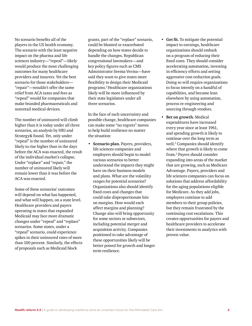No scenario benefits all of the players in the US health economy. The scenario with the least negative impact on the pharma and life sciences industry—"repeal"—likely would produce the most challenging outcomes for many healthcare providers and insurers. Yet the best scenario for those stakeholders— "repair"—wouldn't offer the same relief from ACA taxes and fees as "repeal" would for companies that make branded pharmaceuticals and nonretail medical devices.

The number of uninsured will climb higher than it is today under all three scenarios, an analysis by HRI and Strategy& found. Yet, only under "repeal" is the number of uninsured likely to rise higher than in the days before the ACA was enacted, the result of the individual market's collapse. Under "replace" and "repair," the number of uninsured likely will remain lower than it was before the ACA was enacted.

Some of these scenarios' outcomes will depend on what has happened, and what will happen, on a state level. Healthcare providers and payers operating in states that expanded Medicaid may face more dramatic changes under "repeal" and "replace" scenarios. Some states, under a "repeal" scenario, could experience spikes in their uninsured rates of more than 100 percent. Similarly, the effects of proposals such as Medicaid block

grants, part of the "replace" scenario, could be blunted or exacerbated depending on how states decide to handle the changes. Republican congressional lawmakers—and key policy figures such as CMS Administrator Seema Verma—have said they want to give states more flexibility to design their Medicaid programs.1 Healthcare organizations likely will be more influenced by their state legislators under all three scenarios.

In the face of such uncertainty and possible change, healthcare companies can make some "no regrets" moves to help build resilience no matter the situation:

- **• Scenario plan.** Payers, providers, life sciences companies and employers should begin to model various scenarios to better understand the impacts they might have on their business models and plans. What are the volatility ranges for potential scenarios? Organizations also should identify fixed costs and changes that could take disproportionate hits on margins. How would each affect margins and planning? Change also will bring opportunity for some sectors or subsectors, including potential merger and acquisition activity. Companies positioned to take advantage of these opportunities likely will be better poised for growth and longer term resilience.
- **• Get fit.** To mitigate the potential impact to earnings, healthcare organizations should embark on a program of reducing their fixed costs. They should consider accelerating automation, investing in efficiency efforts and setting aggressive cost-reduction goals. Doing so will require organizations to focus intently on a handful of capabilities, and become lean elsewhere by using automation, process re-engineering and sourcing through vendors.
- **• Bet on growth.** Medical expenditures have increased every year since at least 1961, and spending growth is likely to continue over the long term as well.<sup>2</sup> Companies should identify where that growth is likely to come from.3 Payers should consider expanding into areas of the market that are growing, such as Medicare Advantage. Payers, providers and life sciences companies can focus on solutions that address affordability for the aging populations eligible for Medicare. As they add jobs, employers continue to add members to their group policies, but they remain frustrated by the continuing cost escalations. This creates opportunities for payers and healthcare providers to accelerate their investments in analytics with proven value.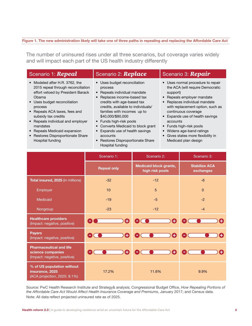#### *The new administration likely will take one of three paths in The new administration likely will take one of three paths in repealing and replacing the Affordable Care Act*  **Figure 1. The new administration likely will take one of three paths in repealing and replacing the Affordable Care Act**

The number of uninsured rises under all three scenarios, but coverage varies made, and and will impact each part of the US health inducing amoremy The number of uninsured rises under all three scenarios, but coverage varies widely and will impact each part of the US health industry differently

| Scenario 1: Repeal                                                                                                                                                                                                                                                                                                                                              | Scenario 2: Replace                                                                                                                                                                                                                                                                                                                                                                                              | Scenario 3: Repair                                                                                                                                                                                                                                                                                                                                                                                                |
|-----------------------------------------------------------------------------------------------------------------------------------------------------------------------------------------------------------------------------------------------------------------------------------------------------------------------------------------------------------------|------------------------------------------------------------------------------------------------------------------------------------------------------------------------------------------------------------------------------------------------------------------------------------------------------------------------------------------------------------------------------------------------------------------|-------------------------------------------------------------------------------------------------------------------------------------------------------------------------------------------------------------------------------------------------------------------------------------------------------------------------------------------------------------------------------------------------------------------|
| • Modeled after H.R. 3762, the<br>2015 repeal through reconciliation<br>effort vetoed by President Barack<br>Obama<br>• Uses budget reconciliation<br>process<br>• Repeals ACA taxes, fees and<br>subsidy tax credits<br>• Repeals individual and employer<br>mandates<br>• Repeals Medicaid expansion<br>• Restores Disproportionate Share<br>Hospital funding | • Uses budget reconciliation<br>process<br>Repeals individual mandate<br>$\bullet$<br>• Replaces income-based tax<br>credits with age-based tax<br>credits, available to individuals/<br>families with incomes up to<br>\$40,000/\$80,000<br>• Funds high-risk pools<br>• Converts Medicaid to block grant<br>Expands use of health savings<br>accounts<br>• Restores Disproportionate Share<br>Hospital funding | • Uses normal procedure to repair<br>the ACA (will require Democratic<br>support)<br>Repeals employer mandate<br>$\bullet$<br>Replaces individual mandate<br>$\bullet$<br>with replacement option, such as<br>continuous coverage<br>• Expands use of health savings<br>accounts<br>• Funds high-risk pools<br>Widens age-band ratings<br>$\bullet$<br>• Gives states more flexibility in<br>Medicaid plan design |

|                                                                                     | Scenario 1:        | Scenario 2:                                      | Scenario 3:                       |  |
|-------------------------------------------------------------------------------------|--------------------|--------------------------------------------------|-----------------------------------|--|
|                                                                                     | <b>Repeal only</b> | <b>Medicaid block grants,</b><br>high risk pools | <b>Stabilize ACA</b><br>exchanges |  |
| Total insured, 2025 (in millions)                                                   | $-32$              | $-12$                                            | $-6$                              |  |
| Employer                                                                            | 10                 | 5                                                | $\Omega$                          |  |
| Medicaid                                                                            | $-19$              | $-5$                                             | $-2$                              |  |
| Nongroup                                                                            | $-23$              | $-12$                                            | $-4$                              |  |
| <b>Healthcare providers</b><br>(Impact: negative, positive)                         | O                  | Θ<br>$\blacksquare$                              | ÷                                 |  |
| <b>Payers</b><br>(Impact: negative, positive)                                       | Θ<br>$\sim$        | O                                                | $\blacksquare$                    |  |
| <b>Pharmaceutical and life</b><br>science companies<br>(Impact: negative, positive) | Ð                  | A                                                | $\blacksquare$                    |  |
| % of US population without<br>insurance, 2025<br>(ACA projection, 2025: 8.1%)       | 17.2%              | 11.6%                                            | 9.9%                              |  |

the Affordable Care Act Would Affect Health Insurance Coverage and Premiums, January 2017; and Census data. *the Affordable Care Act Would Affect Health Insurance Coverage and Premiums*, January 2017; and Census data. Note: All data reflect projected uninsured rate as of 2025. Source: PwC Health Research Institute and Strategy& analysis; Congressional Budget Office, *How Repealing Portions of*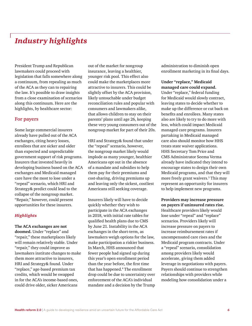# *Industry highlights*

President Trump and Republican lawmakers could proceed with legislation that falls somewhere along a continuum, from repealing as much of the ACA as they can to repairing the law. It's possible to draw insights from a close examination of scenarios along this continuum. Here are the highlights, by healthcare sector:

### **For payers**

Some large commercial insurers already have pulled out of the ACA exchanges, citing heavy losses, enrollees that are sicker and older than expected and unpredictable government support of risk programs. Insurers that invested heavily in developing business based on the ACA exchanges and Medicaid managed care have the most to lose under a "repeal" scenario, which HRI and Strategy& predict could lead to the collapse of the nongroup market. "Repair," however, could present opportunities for these insurers.

#### *Highlights*

**The ACA exchanges are not doomed.** Under "replace" and "repair," these marketplaces likely will remain relatively stable. Under "repair," they could improve as lawmakers institute changes to make them more attractive to insurers, HRI and Strategy& found. Under "replace," age-based premium tax credits, which would be swapped in for the ACA's income-based ones, could drive older, sicker Americans

out of the market for nongroup insurance, leaving a healthier, younger risk pool. This effect also could make the marketplaces more attractive to insurers. This could be slightly offset by the ACA provision, likely untouchable under budget reconciliation rules and popular with consumers and lawmakers alike, that allows children to stay on their parents' plans until age 26, keeping these very young consumers out of the nongroup market for part of their 20s.

HRI and Strategy& found that under the "repeal" scenario, however, the nongroup market likely would implode as many younger, healthier Americans opt out in the absence of a mandate and subsidies to help them pay for their premiums and cost-sharing, driving premiums up and leaving only the sickest, costliest Americans still seeking coverage.

Insurers likely will have to decide quickly whether they wish to participate in the ACA exchanges in 2018, with initial rate tables for qualified health plans due to CMS by June 21. Instability in the ACA exchanges in the short-term, as lawmakers weigh options for the law, make participation a riskier business. In March, HHS announced that fewer people had signed up during this year's open enrollment period than the year before, the first time that has happened.4 The enrollment drop could be due to uncertainty over enforcement of the ACA's individual mandate and a decision by the Trump administration to diminish open enrollment marketing in its final days.

**Under "replace," Medicaid managed care could expand.** Under "replace," federal funding for Medicaid would slowly contract, leaving states to decide whether to make up the difference or cut back on benefits and enrollees. Many states also are likely to try to do more with less, which could impact Medicaid managed care programs. Insurers partaking in Medicaid managed care also should monitor how HHS treats state waiver applications. HHS Secretary Tom Price and CMS Administrator Seema Verma already have indicated they intend to encourage states to design their own Medicaid programs, and that they will more freely grant waivers.<sup>5</sup> This may represent an opportunity for insurers to help implement new programs.

**Providers may increase pressure on payers if uninsured rates rise.**  Healthcare providers likely would lose under "repeal" and "replace" scenarios. Providers likely will increase pressure on payers to increase reimbursement rates if uncompensated care rises and the Medicaid program contracts. Under a "repeal" scenario, consolidation among providers likely would accelerate, giving them added leverage in negotiations with payers. Payers should continue to strengthen relationships with providers while modeling how consolidation under a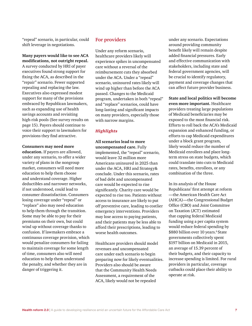"repeal" scenario, in particular, could shift leverage in negotiations.

### **Many payers would like to see ACA modifications, not outright repeal.**

A survey conducted by HRI of payer executives found strong support for fixing the ACA, as described in the "repair" scenario. Fewer supported repealing and replacing the law. Executives also expressed modest support for many of the provisions embraced by Republican lawmakers, such as expanding use of health savings accounts and revisiting high-risk pools (See survey results on page 15). Payers should continue to voice their support to lawmakers for provisions they find attractive.

#### **Consumers may need more**

**education.** If payers are allowed, under any scenario, to offer a wider variety of plans in the nongroup market, consumers will need more education to help them choose and understand coverage. Higher deductibles and narrower networks, if not understood, could lead to consumer dissatisfaction. Consumers losing coverage under "repeal" or "replace" also may need education to help them through the transition. Some may be able to pay for their premiums on their own, but could wind up without coverage thanks to confusion. If lawmakers embrace a continuous coverage provision, which would penalize consumers for failing to maintain coverage for some length of time, consumers also will need education to help them understand the penalty, and whether they are in danger of triggering it.

#### **For providers**

Under any reform scenario, healthcare providers likely will experience spikes in uncompensated care without a reversal of the reimbursement cuts they absorbed under the ACA. Under a "repeal" scenario, uninsured rates likely will wind up higher than before the ACA passed. Changes to the Medicaid program, undertaken in both "repeal" and "replace" scenarios, could have long-lasting and significant impacts on many providers, especially those with narrow margins.

#### *Highlights*

**All scenarios lead to more uncompensated care.** Fully implemented, the "repeal" scenario, would leave 32 million more Americans uninsured in 2025 than under the ACA, HRI and Strategy& conclude. Under this scenario, rates of bad debt and uncompensated care would be expected to rise significantly. Charity care would be expected to rise too. Patients without access to insurance are likely to put off preventive care, leading to costlier emergency interventions. Providers may lose access to paying patients, and their patients may be less able to afford their prescriptions, leading to worse health outcomes.

Healthcare providers should model revenues and uncompensated care under each scenario to begin preparing now for likely eventualities. Providers also should be aware that the Community Health Needs Assessment, a requirement of the ACA, likely would not be repealed

under any scenario. Expectations around providing community benefit likely will remain despite added financial pressures. Early and effective communication with stakeholders, including state and federal government agencies, will be crucial to identify regulatory, payment and coverage changes that can affect future provider business.

**State and local politics will become even more important.** Healthcare providers treating large populations of Medicaid beneficiaries may be exposed to the most financial risk. Efforts to roll back the ACA's Medicaid expansion and enhanced funding, or efforts to cap Medicaid expenditures under a block grant program, likely would reduce the number of Medicaid enrollees and place longterm stress on state budgets, which could translate into cuts to Medicaid rates, benefits, enrollees, or any combination of the three.

In its analysis of the House Republicans' first attempt at reform —the American Health Care Act (AHCA)—the Congressional Budget Office (CBO) and Joint Committee on Taxation (JCT) estimated that capping federal Medicaid funding using a per capita system would reduce federal spending by \$880 billion over 10 years.<sup>6</sup> State governments collectively spent \$197 billion on Medicaid in 2015, an average of 15.39 percent of their budgets, and their capacity to increase spending is limited. For rural providers in particular, coverage cutbacks could place their ability to operate at risk.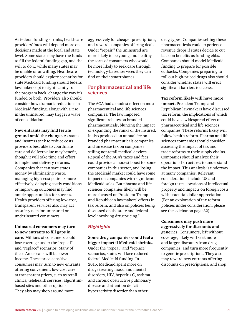As federal funding shrinks, healthcare providers' fates will depend more on decisions made at the local and state level. Some states may have the funds to fill the federal funding gap, and the will to do it, while many states may be unable or unwilling. Healthcare providers should explore scenarios for state Medicaid funding should federal lawmakers opt to significantly roll the program back, change the way it's funded or both. Providers also should consider how dramatic reductions in Medicaid funding, along with a rise in the uninsured, may trigger a wave of consolidation.

**New entrants may find fertile ground amid the change.** As states and insurers seek to reduce costs, providers best able to coordinate care and deliver value may benefit, though it will take time and effort to implement delivery reforms. Companies that can save states money by eliminating waste, managing high-cost patients more effectively, delaying costly conditions or improving outcomes may find ample opportunities for success. Health providers offering low-cost, transparent services also may act as safety nets for uninsured or underinsured consumers.

**Uninsured consumers may turn to new entrants to fill gaps in care.** Millions of consumers could lose coverage under the "repeal" and "replace" scenarios. Many of these Americans will be lowerincome. These price-sensitive consumers may turn to new entrants offering convenient, low-cost care at transparent prices, such as retail clinics, telehealth services, algorithmbased sites and other options. They also may shop around more

aggressively for cheaper prescriptions, and reward companies offering deals. Under "repair," the uninsured are more likely to be young and healthy, the sorts of consumers who would be more likely to seek care through technology-based services they can find on their smartphones.

### **For pharmaceutical and life sciences**

The ACA had a modest effect on most pharmaceutical and life sciences companies. The law imposed significant rebates on branded pharmaceuticals, blunting the impact of expanding the ranks of the insured. It also produced an annual fee on branded pharmaceuticals companies and an excise tax on companies selling nonretail medical devices. Repeal of the ACA's taxes and fees could provide a modest boost for some companies in this sector, and losing the Medicaid market could have some impact on companies with significant Medicaid sales. But pharma and life sciences companies likely will be more focused on President Trump and Republican lawmakers' efforts in tax reform, and also on policies being discussed on the state and federal level involving drug pricing.<sup>7</sup>

### *Highlights*

**Some drug companies could feel a bigger impact if Medicaid shrinks.**  Under the "repeal" and "replace" scenarios, states will face reduced federal Medicaid funding. In 2015, Medicaid spent more on drugs treating mood and mental disorders, HIV, hepatitis C, asthma and chronic obstructive pulmonary disease and attention deficit hyperactivity disorder than other

drug types. Companies selling these pharmaceuticals could experience revenue drops if states decide to cut back on benefits as funding ebbs. Companies should model Medicaid funding to prepare for possible cutbacks. Companies preparing to roll out high-priced drugs also should consider whether states will erect significant barriers to access.

**Tax reform likely will have more impact.** President Trump and Republican lawmakers have discussed tax reform, the implications of which could have a widespread effect on pharmaceutical and life sciences companies. These reforms likely will follow health reform. Pharma and life sciences companies should consider assessing the impact of tax and trade reforms to their supply chains. Companies should analyze their operational structures to understand the impact. This analysis is underway at many companies. Relevant considerations include US and foreign taxes, locations of intellectual property and impacts on foreign costs with potential dollar appreciation. (For an exploration of tax reform policies under consideration, please see the sidebar on page 32).

#### **Consumers may push more aggressively for discounts and**

**generics.** Consumers, left without coverage, likely will seek more and larger discounts from drug companies, and turn more frequently to generic prescriptions. They also may reward new entrants offering discounts on prescriptions, and shop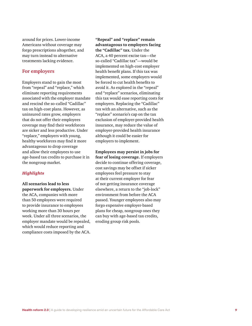around for prices. Lower-income Americans without coverage may forgo prescriptions altogether, and may turn instead to alternative treatments lacking evidence.

#### **For employers**

Employers stand to gain the most from "repeal" and "replace," which eliminate reporting requirements associated with the employer mandate and rescind the so-called "Cadillac" tax on high-cost plans. However, as uninsured rates grow, employers that do not offer their employees coverage may find their workforces are sicker and less productive. Under "replace," employers with young, healthy workforces may find it more advantageous to drop coverage and allow their employees to use age-based tax credits to purchase it in the nongroup market.

#### *Highlights*

**All scenarios lead to less paperwork for employers.** Under the ACA, companies with more than 50 employees were required to provide insurance to employees working more than 30 hours per week. Under all three scenarios, the employer mandate would be repealed, which would reduce reporting and compliance costs imposed by the ACA.

**"Repeal" and "replace" remain advantageous to employers facing the "Cadillac" tax.** Under the ACA, a 40 percent excise tax—the so-called "Cadillac tax"—would be implemented on high-cost employer health benefit plans. If this tax was implemented, some employers would be forced to cut health benefits to avoid it. As explored in the "repeal" and "replace" scenarios, eliminating this tax would ease reporting costs for employers. Replacing the "Cadillac" tax with an alternative, such as the "replace" scenario's cap on the tax exclusion of employer-provided health insurance, may reduce the value of employer-provided health insurance although it could be easier for employers to implement.

**Employees may persist in jobs for fear of losing coverage.** If employers decide to continue offering coverage, cost savings may be offset if sicker employees feel pressure to stay at their current employer for fear of not getting insurance coverage elsewhere, a return to the "job-lock" environment from before the ACA passed. Younger employees also may forgo expensive employer-based plans for cheap, nongroup ones they can buy with age-based tax credits, eroding group risk pools.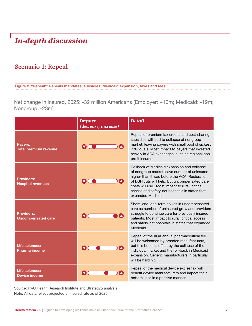# *In-depth discussion*

# **Scenario 1: Repeal**

*taxes and fees*

**Figure 2. "Repeal": Repeals mandates, subsidies, Medicaid expansion, taxes and fees** 

Net change in insured, 2025: -32 million Americans (Employer: +10m; Medicaid: -19m; Nongroup: -23m)

|                                                | <b>Impact</b><br>(decrease, increase) | <b>Detail</b>                                                                                                                                                                                                                                                                                                             |
|------------------------------------------------|---------------------------------------|---------------------------------------------------------------------------------------------------------------------------------------------------------------------------------------------------------------------------------------------------------------------------------------------------------------------------|
| Payers:<br><b>Total premium revenue</b>        |                                       | Repeal of premium tax credits and cost-sharing<br>subsidies will lead to collapse of nongroup<br>market, leaving payers with small pool of sickest<br>individuals. Most impact to payers that invested<br>heavily in ACA exchanges, such as regional non-<br>profit insurers.                                             |
| <b>Providers:</b><br><b>Hospital revenues</b>  | A                                     | Rollback of Medicaid expansion and collapse<br>of nongroup market leave number of uninsured<br>higher than it was before the ACA. Restoration<br>of DSH cuts will help, but uncompensated care<br>costs will rise. Most impact to rural, critical<br>access and safety-net hospitals in states that<br>expanded Medicaid. |
| <b>Providers:</b><br><b>Uncompensated care</b> |                                       | Short- and long-term spikes in uncompensated<br>care as number of uninsured grow and providers<br>struggle to continue care for previously insured<br>patients. Most impact to rural, critical access<br>and safety-net hospitals in states that expanded<br>Medicaid.                                                    |
| Life sciences:<br><b>Pharma income</b>         |                                       | Repeal of the ACA annual pharmaceutical fee<br>will be welcomed by branded manufacturers,<br>but this boost is offset by the collapse of the<br>individual market and the roll-back in Medicaid<br>expansion. Generic manufacturers in particular<br>will be hard hit.                                                    |
| Life sciences:<br><b>Device income</b>         |                                       | Repeal of the medical device excise tax will<br>benefit device manufacturers and impact their<br>bottom lines in a positive manner.                                                                                                                                                                                       |

Source: PwC Health Research Institute and Strategy& analysis Note: All data reflect projected uninsured rate as of 2025.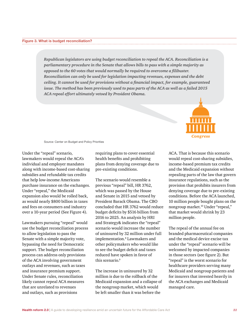# *What is budget reconciliation?* **Figure 3. What is budget reconciliation?**

*Republican legislators are using budget reconciliation to repeal the ACA. Reconciliation is a parliamentary procedure in the Senate that allows bills to pass with a simple majority as opposed to the 60 votes that would normally be required to overcome a filibuster. Reconciliation can only be used for legislation impacting revenues, expenses and the debt ceiling. It cannot be used for provisions without a financial impact, for example, guaranteed issue. The method has been previously used to pass parts of the ACA as well as a failed 2015 ACA repeal effort ultimately vetoed by President Obama.*



Source: Center on Budget and Policy Priorities

Under the "repeal" scenario, lawmakers would repeal the ACA's individual and employer mandates along with income-based cost-sharing subsidies and refundable tax credits that help low-income Americans purchase insurance on the exchanges. Under "repeal," the Medicaid expansion also would be rolled back, as would nearly \$800 billion in taxes and fees on consumers and industry over a 10-year period (See Figure 4).

Lawmakers pursuing "repeal" would use the budget reconciliation process to allow legislation to pass the Senate with a simple majority vote, bypassing the need for Democratic support. The budget reconciliation process can address only provisions of the ACA involving government outlays and revenues, such as taxes and insurance premium support. Under Senate rules, reconciliation likely cannot repeal ACA measures that are unrelated to revenues and outlays, such as provisions

requiring plans to cover essential health benefits and prohibiting plans from denying coverage due to pre-existing conditions.

The scenario would resemble a previous "repeal" bill, HR 3762, which was passed by the House and Senate in 2015 and vetoed by President Barack Obama. The CBO concluded that HR 3762 would reduce budget deficits by \$516 billion from 2016 to 2025. An analysis by HRI and Strategy& indicates the "repeal" scenario would increase the number of uninsured by 32 million under full implementation.8 Lawmakers and other policymakers who would like to see the budget deficit and taxes reduced have spoken in favor of this scenario.<sup>9</sup>

The increase in uninsured by 32 million is due to the rollback of the Medicaid expansion and a collapse of the nongroup market, which would be left smaller than it was before the

ACA. That is because this scenario would repeal cost-sharing subsidies, income-based premium tax credits and the Medicaid expansion without repealing parts of the law that govern insurance regulations, such as the provision that prohibits insurers from denying coverage due to pre-existing conditions. Before the ACA launched, 10 million people bought plans on the nongroup market.<sup>10</sup> Under "repeal," that market would shrink by 23 million people.

The repeal of the annual fee on branded pharmaceutical companies and the medical device excise tax under the "repeal" scenario will be welcomed by impacted companies in those sectors (see figure 2). But "repeal" is the worst scenario for healthcare providers serving many Medicaid and nongroup patients and for insurers that invested heavily in the ACA exchanges and Medicaid managed care.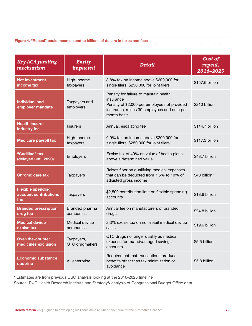*"Repeal" could mean an end to billions of dollars in taxes and fees* **Figure 4. "Repeal" could mean an end to billions of dollars in taxes and fees**

| <b>Key ACA</b> funding<br>mechanism                                   | <b>Entity</b><br>impacted          | <b>Detail</b>                                                                                                                                                     | Cost of<br>repeal,<br>2016-2025 |
|-----------------------------------------------------------------------|------------------------------------|-------------------------------------------------------------------------------------------------------------------------------------------------------------------|---------------------------------|
| <b>Net investment</b><br>income tax                                   | High-income<br>taxpayers           | 3.8% tax on income above \$200,000 for<br>single filers; \$250,000 for joint filers                                                                               | \$157.6 billion                 |
| <b>Individual and</b><br>employer mandate                             | Taxpayers and<br>employers         | Penalty for failure to maintain health<br>insurance<br>Penalty of \$2,000 per employee not provided<br>insurance, minus 30 employees and on a per-<br>month basis | \$210 billion                   |
| <b>Health insurer</b><br>industry fee                                 | <b>Insurers</b>                    | Annual, escalating fee                                                                                                                                            | \$144.7 billion                 |
| <b>Medicare payroll tax</b>                                           | High-income<br>taxpayers           | 0.9% tax on income above \$200,000 for<br>single filers, \$250,000 for joint filers                                                                               | \$117.3 billion                 |
| "Cadillac" tax<br>(delayed until 2020)                                | Employers                          | Excise tax of 40% on value of health plans<br>above a determined value                                                                                            | \$48.7 billion                  |
| <b>Chronic care tax</b><br>Taxpayers                                  |                                    | Raises floor on qualifying medical expenses<br>that can be deducted from 7.5% to 10% of<br>adjusted gross income                                                  | \$40 billion*                   |
| <b>Flexible spending</b><br>account contributions<br>Taxpayers<br>tax |                                    | \$2,500 contribution limit on flexible spending<br>accounts                                                                                                       | \$18.6 billion                  |
| <b>Branded prescription</b><br>drug fee                               | Branded pharma<br>companies        | Annual fee on manufacturers of branded<br>drugs                                                                                                                   | \$24.8 billion                  |
| <b>Medical device</b><br>excise tax                                   | <b>Medical device</b><br>companies | 2.3% excise tax on non-retail medical device<br>sales                                                                                                             | \$19.6 billion                  |
| <b>Over-the-counter</b><br>medicines exclusion                        | Taxpayers,<br>OTC drugmakers       | OTC drugs no longer qualify as medical<br>expense for tax-advantaged savings<br>accounts                                                                          | \$5.5 billion                   |
| <b>Economic substance</b><br>doctrine                                 | All enterprise                     | Requirement that transactions produce<br>benefits other than tax minimization or<br>avoidance                                                                     | \$5.8 billion                   |

\* Estimates are from previous CBO analysis looking at the 2016-2025 timeline

Source: PwC Health Research Institute and Strategy& analysis of Congressional Budget Office data.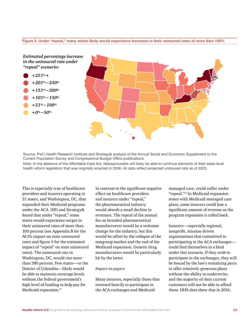# *Under "repeal," states many states likely would experience increases in their uninsured rates of more than 100%* **Figure 5. Under "repeal," many states likely would experience increases in their uninsured rates of more then 100%**



Source: PwC Health Research Institute and Strategy& analysis of the Annual Social and Economic Supplement to the Current Population Survey and Congressional Budget Office publications.

Note: In the absence of the Affordable Care Act, Massachusetts will likely be able to continue elements of their state-level health reform legislation that was originally enacted in 2006. All data reflect projected uninsured rate as of 2025.

This is especially true of healthcare providers and insurers operating in 31 states, and Washington, DC, that expanded their Medicaid programs under the ACA. HRI and Strategy& found that under "repeal," some states would experience surges in their uninsured rates of more than 100 percent (see Appendix B for the ACA's impact on state uninsured rates and figure 5 for the estimated impact of "repeal" on state uninsured rates). The uninsured rate in Washington, DC, would rise more than 380 percent. Few states—or the District of Columbia—likely would be able to maintain coverage levels without the federal government's high level of funding to help pay for Medicaid expansion.<sup>11</sup>

In contrast to the significant negative effect on healthcare providers and insurers under "repeal," the pharmaceutical industry would absorb a small decline in revenues. The repeal of the annual fee on branded pharmaceutical manufacturers would be a welcome change for the industry, but this would be offset by the collapse of the nongroup market and the end of the Medicaid expansion. Generic drug manufacturers would be particularly hit by the latter.

#### *Impact on payers*

Many insurers, especially those that invested heavily to participate in the ACA exchanges and Medicaid

managed care, could suffer under "repeal."12 In Medicaid expansion states with Medicaid managed care plans, some insurers could lose a significant amount of revenue as the program expansion is rolled back.

Insurers—especially regional, nonprofit, mission-driven organizations that committed to participating in the ACA exchanges could find themselves in a bind under this scenario. If they wish to participate in the exchanges, they will be bound by the law's remaining parts to offer relatively generous plans without the ability to underwrite, and the majority of their current customers will not be able to afford them. HHS data show that in 2016,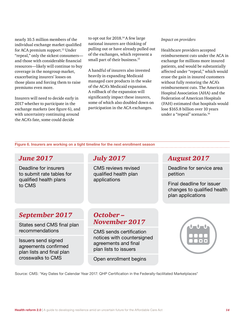nearly 10.5 million members of the individual exchange market qualified for ACA premium support.<sup>13</sup> Under "repeal," only the sickest consumers and those with considerable financial resources—likely will continue to buy coverage in the nongroup market, exacerbating insurers' losses on those plans and forcing them to raise premiums even more.

Insurers will need to decide early in 2017 whether to participate in the exchange markets (see figure 6), and with uncertainty continuing around the ACA's fate, some could decide

to opt out for 2018.<sup>14</sup> A few large national insurers are thinking of pulling out or have already pulled out of the exchanges, which represent a small part of their business.<sup>15</sup>

A handful of insurers also invested heavily in expanding Medicaid managed care products in the wake of the ACA's Medicaid expansion. A rollback of the expansion will significantly impact these insurers, some of which also doubled down on participation in the ACA exchanges.

#### *Impact on providers*

Healthcare providers accepted reimbursement cuts under the ACA in exchange for millions more insured patients, and would be substantially affected under "repeal," which would erase the gain in insured customers without fully restoring the ACA's reimbursement cuts. The American Hospital Association (AHA) and the Federation of American Hospitals (FAH) estimated that hospitals would lose \$165.8 billion over 10 years under a "repeal" scenario.<sup>16</sup>

*Affordable Care Act enrollment season* **Figure 6. Insurers are working on a tight timeline for the next enrollment season**

## *June 2017*

Deadline for insurers to submit rate tables for qualified health plans to CMS

## *July 2017*

CMS reviews revised qualified health plan applications

### *August 2017*

Deadline for service area petition

Final deadline for issuer changes to qualified health plan applications

## *September 2017*

States send CMS final plan recommendations

Issuers send signed agreements confirmed plan lists and final plan crosswalks to CMS

## *October – November 2017*

CMS sends certification notices with countersigned agreements and final plan lists to issuers

Open enrollment begins



Source: CMS: "Key Dates for Calendar Year 2017: QHP Certification in the Federally-facilitated Marketplaces"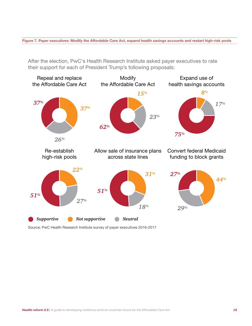*Payer executives: Modify the Affordable Care Act, expand*  **Figure 7. Payer executives: Modify the Affordable Care Act, expand health savings accounts and restart high-risk pools**

After the election, PwC's Health Research Institute asked payer executives to rate their support for each of President Trump's following proposals:



Source: PwC Health Research Institute survey of payer executives 2016-2017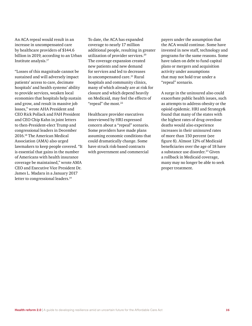An ACA repeal would result in an increase in uncompensated care by healthcare providers of \$144.6 billion in 2019, according to an Urban Institute analysis.<sup>17</sup>

"Losses of this magnitude cannot be sustained and will adversely impact patients' access to care, decimate hospitals' and health systems' ability to provide services, weaken local economies that hospitals help sustain and grow, and result in massive job losses," wrote AHA President and CEO Rick Pollack and FAH President and CEO Chip Kahn in joint letters to then-President-elect Trump and congressional leaders in December 2016.18 The American Medical Association (AMA) also urged lawmakers to keep people covered. "It is essential that gains in the number of Americans with health insurance coverage be maintained," wrote AMA CEO and Executive Vice President Dr. James L. Madara in a January 2017 letter to congressional leaders.<sup>19</sup>

To date, the ACA has expanded coverage to nearly 17 million additional people, resulting in greater utilization of provider services.<sup>20</sup> The coverage expansion created new patients and new demand for services and led to decreases in uncompensated care.<sup>21</sup> Rural hospitals and community clinics, many of which already are at risk for closure and which depend heavily on Medicaid, may feel the effects of "repeal" the most.<sup>22</sup>

Healthcare provider executives interviewed by HRI expressed concern about a "repeal" scenario. Some providers have made plans assuming economic conditions that could dramatically change. Some have struck risk-based contracts with government and commercial

payers under the assumption that the ACA would continue. Some have invested in new staff, technology and programs for the same reasons. Some have taken on debt to fund capital plans or mergers and acquisition activity under assumptions that may not hold true under a "repeal" scenario.

A surge in the uninsured also could exacerbate public health issues, such as attempts to address obesity or the opioid epidemic. HRI and Strategy& found that many of the states with the highest rates of drug overdose deaths would also experience increases in their uninsured rates of more than 150 percent (see figure 8). Almost 12% of Medicaid beneficiaries over the age of 18 have a substance use disorder.<sup>23</sup> Given a rollback in Medicaid coverage, many may no longer be able to seek proper treatment.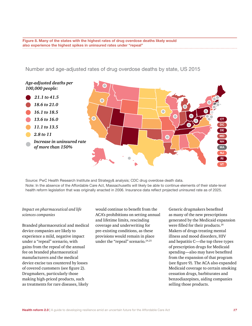*Many of the states with the highest rates of drug overdose*  **also experience the highest spikes in uninsured rates under "repeal"Figure 8. Many of the states with the highest rates of drug overdose deaths likely would** 

Number and age-adjusted rates of drug overdose deaths by state, US 2015



Source: PwC Health Research Institute and Strategy& analysis; CDC drug overdose death data. Note: In the absence of the Affordable Care Act, Massachusetts will likely be able to continue elements of their state-level health reform legislation that was originally enacted in 2006. Insurance data reflect projected uninsured rate as of 2025.

#### *Impact on pharmaceutical and life sciences companies*

Branded pharmaceutical and medical device companies are likely to experience a mild, negative impact under a "repeal" scenario, with gains from the repeal of the annual fee on branded pharmaceutical manufacturers and the medical device excise tax countered by losses of covered customers (see figure 2). Drugmakers, particularly those making high-priced products, such as treatments for rare diseases, likely

would continue to benefit from the ACA's prohibitions on setting annual and lifetime limits, rescinding coverage and underwriting for pre-existing conditions, as these provisions would remain in place under the "repeal" scenario.<sup>24,25</sup>

Generic drugmakers benefited as many of the new prescriptions generated by the Medicaid expansion were filled for their products.<sup>26</sup> Makers of drugs treating mental illness and mood disorders, HIV and hepatitis C—the top three types of prescription drugs for Medicaid spending—also may have benefited from the expansion of that program (see figure 9). The ACA also expanded Medicaid coverage to certain smoking cessation drugs, barbiturates and benzodiazepines, aiding companies selling those products.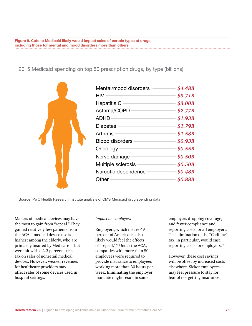*Cuts to Medicaid likely would impact sales of certain types*  **including those for mental and mood disorders more than othersFigure 9. Cuts to Medicaid likely would impact sales of certain types of drugs,** 

2015 Medicaid spending on top 50 prescription drugs, by type (billions)



| Mental/mood disorders  | \$4.48B |
|------------------------|---------|
| HIV                    | \$3.71B |
| Hepatitis C            | \$3.00B |
| Asthma/COPD            | \$2.77B |
| ADHD                   | \$1.93B |
| Diabetes               | \$1.79B |
| Arthritis              | \$1.58B |
| <b>Blood disorders</b> | \$0.93B |
| Oncology∍              | \$0.55B |
| Nerve damage           | \$0.50B |
| Multiple sclerosis     | \$0.50B |
| Narcotic dependence    | \$0.48B |
| Other                  | \$0.88B |

Source: PwC Health Research Institute analysis of CMS Medicaid drug spending data

Makers of medical devices may have the most to gain from "repeal." They gained relatively few patients from the ACA—medical device use is highest among the elderly, who are primarily insured by Medicare —but were hit with a 2.3 percent excise tax on sales of nonretail medical devices. However, weaker revenues for healthcare providers may affect sales of some devices used in hospital settings.

#### *Impact on employers*

Employers, which insure 49 percent of Americans, also likely would feel the effects of "repeal."27 Under the ACA, companies with more than 50 employees were required to provide insurance to employees working more than 30 hours per week. Eliminating the employer mandate might result in some

employers dropping coverage, and fewer compliance and reporting costs for all employers. The elimination of the "Cadillac" tax, in particular, would ease reporting costs for employers.<sup>28</sup>

However, these cost savings will be offset by increased costs elsewhere. Sicker employees may feel pressure to stay for fear of not getting insurance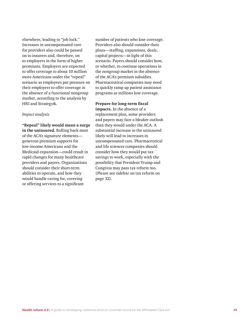elsewhere, leading to "job lock." Increases in uncompensated care for providers also could be passed on to insurers and, therefore, on to employers in the form of higher premiums. Employers are expected to offer coverage to about 10 million more Americans under the "repeal" scenario as employees put pressure on their employers to offer coverage in the absence of a functional nongroup market, according to the analysis by HRI and Strategy&.

#### *Impact analysis*

**"Repeal" likely would mean a surge in the uninsured.** Rolling back most of the ACA's signature elements generous premium supports for low-income Americans and the Medicaid expansion—could result in rapid changes for many healthcare providers and payers. Organizations should consider their short-term abilities to operate, and how they would handle caring for, covering or offering services to a significant

number of patients who lose coverage. Providers also should consider their plans—staffing, expansions, deals, capital projects—in light of this scenario. Payers should consider how, or whether, to continue operations in the nongroup market in the absence of the ACA's premium subsidies. Pharmaceutical companies may need to quickly ramp up patient assistance programs as millions lose coverage.

#### **Prepare for long-term fiscal**

**impacts.** In the absence of a replacement plan, some providers and payers may face a bleaker outlook than they would under the ACA. A substantial increase in the uninsured likely will lead to increases in uncompensated care. Pharmaceutical and life sciences companies should consider how they would put tax savings to work, especially with the possibility that President Trump and Congress may pass tax reform too. (Please see sidebar on tax reform on page 32).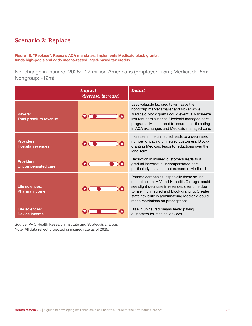### *"Replace": Repeals ACA mandates; implements Medicaid*  **Scenario 2: Replace**

*block grants; funds high-risk pools and adds means-tested,*  **Figure 10. "Replace": Repeals ACA mandates; implements Medicaid block grants;**  *aged-based tax credits* **funds high-pools and adds means-tested, aged-based tax credits**

Net change in insured, 2025: -12 million Americans (Employer: +5m; Medicaid: -5m; Nongroup: -12m)

|                                                | <b>Impact</b><br>(decrease, increase) | Detail                                                                                                                                                                                                                                                                                         |
|------------------------------------------------|---------------------------------------|------------------------------------------------------------------------------------------------------------------------------------------------------------------------------------------------------------------------------------------------------------------------------------------------|
| <b>Payers:</b><br><b>Total premium revenue</b> |                                       | Less valuable tax credits will leave the<br>nongroup market smaller and sicker while<br>Medicaid block grants could eventually squeeze<br>insurers administering Medicaid managed care<br>programs. Most impact to insurers participating<br>in ACA exchanges and Medicaid managed care.       |
| <b>Providers:</b><br><b>Hospital revenues</b>  |                                       | Increase in the uninsured leads to a decreased<br>number of paying uninsured customers. Block-<br>granting Medicaid leads to reductions over the<br>long-term.                                                                                                                                 |
| <b>Providers:</b><br><b>Uncompensated care</b> |                                       | Reduction in insured customers leads to a<br>gradual increase in uncompensated care;<br>particularly in states that expanded Medicaid.                                                                                                                                                         |
| Life sciences:<br><b>Pharma income</b>         |                                       | Pharma companies, especially those selling<br>mental health, HIV and Hepatitis C drugs, could<br>see slight decrease in revenues over time due<br>to rise in uninsured and block granting. Greater<br>state flexibility in administering Medicaid could<br>mean restrictions on prescriptions. |
| Life sciences:<br><b>Device income</b>         |                                       | Rise in uninsured means fewer paying<br>customers for medical devices.                                                                                                                                                                                                                         |

Source: PwC Health Research Institute and Strategy& analysis Note: All data reflect projected uninsured rate as of 2025.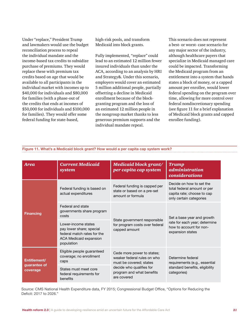Under "replace," President Trump and lawmakers would use the budget reconciliation process to repeal the individual mandate and the income-based tax credits to subsidize purchase of premiums. They would replace these with premium tax credits based on age that would be available to all participants in the individual market with incomes up to \$40,000 for individuals and \$80,000 for families (with a phase-out of the credits that ends at incomes of \$50,000 for individuals and \$100,000 for families). They would offer some federal funding for state-based,

high-risk pools, and transform Medicaid into block grants.

Fully implemented, "replace" could lead to an estimated 12 million fewer insured individuals than under the ACA, according to an analysis by HRI and Strategy&. Under this scenario, employers would cover an estimated 5 million additional people, partially offsetting a decline in Medicaid enrollment because of the blockgranting program and the loss of an estimated 12 million people in the nongroup market thanks to less generous premium supports and the individual mandate repeal.

This scenario does not represent a best- or worst- case scenario for any major sector of the industry, although healthcare payers that specialize in Medicaid managed care could be impacted. Transforming the Medicaid program from an entitlement into a system that hands states a block of money, or a capped amount per enrollee, would lower federal spending on the program over time, allowing for more control over federal nondiscretionary spending (see figure 11 for a brief explanation of Medicaid block grants and capped enrollee funding).

| <b>Area</b>                                        | <b>Current Medicaid</b><br>system                                                                                             | Medicaid block grant/<br>per capita cap system                                       | <b>Trump</b><br><i>administration</i><br>considerations                                                          |  |
|----------------------------------------------------|-------------------------------------------------------------------------------------------------------------------------------|--------------------------------------------------------------------------------------|------------------------------------------------------------------------------------------------------------------|--|
| Federal funding is based on<br>actual expenditures |                                                                                                                               | Federal funding is capped per<br>state or based on a pre-set<br>amount or formula    | Decide on how to set the<br>total federal amount or per<br>capita rate; choose to cap<br>only certain categories |  |
| <b>Financing</b>                                   | Federal and state<br>governments share program<br>costs                                                                       | State government responsible                                                         | Set a base year and growth                                                                                       |  |
|                                                    | Lower-income states<br>pay lower share; special<br>federal match rates for the<br><b>ACA Medicaid expansion</b><br>population | for program costs over federal<br>capped amount                                      | rate for each year; determine<br>how to account for non-<br>expansion states                                     |  |
| Entitlement/                                       | Eligible people guaranteed<br>coverage; no enrollment<br>caps                                                                 | Cede more power to states;<br>weaker federal rules on who<br>must be covered; states | Determine federal<br>requirements (e.g., essential<br>standard benefits, eligibility<br>categories)              |  |
| guarantee of<br>coverage                           | States must meet core<br>federal requirements for<br>benefits                                                                 | decide who qualifies for<br>program and what benefits<br>are covered                 |                                                                                                                  |  |

# *What's a Medicaid block grant? How would a per capita cap system work?* **Figure 11. What's a Medicaid block grant? How would a per capita cap system work?**

Source: CMS National Health Expenditure data, FY 2015; Congressional Budget Office, "Options for Reducing the Deficit: 2017 to 2026."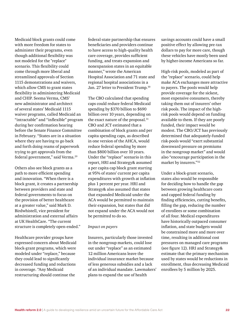Medicaid block grants could come with more freedom for states to administer their programs, even though additional flexibility was not modeled for the "replace" scenario. This flexibility could come through more liberal and streamlined approvals of Section 1115 demonstrations and waivers, which allow CMS to grant states flexibility in administering Medicaid and CHIP. Seema Verma, CMS' new administrator and architect of several states' Medicaid 1115 waiver programs, called Medicaid an "intractable" and "inflexible" program during her confirmation hearing before the Senate Finance Committee in February. "States are in a situation where they are having to go back and forth doing reams of paperwork trying to get approvals from the federal government," said Verma.29

Others also see block grants as a path to more efficient spending and innovation. "When there is a block grant, it creates a partnership between providers and state and federal governments to focus on the provision of better healthcare at a greater value," said Mark D. Birdwhistell, vice president for administration and external affairs at UK HealthCare. "The current structure is completely open-ended."

Healthcare provider groups have expressed concern about Medicaid block-grant programs, which were modeled under "replace," because they could lead to significantly decreased funding and reductions in coverage. "Any Medicaid restructuring should continue the

federal-state partnership that ensures beneficiaries and providers continue to have access to high-quality health care coverage, provides sufficient funding, and treats expansion and nonexpansion states in an equitable manner," wrote the American Hospital Association and 71 state and regional hospital associations in a Jan. 27 letter to President Trump.<sup>30</sup>

The CBO calculated that spending caps could reduce federal Medicaid spending by \$370 billion to \$690 billion over 10 years, depending on the exact nature of the proposal.<sup>31</sup> CBO and JCT estimated that a combination of block grants and per capita spending caps, as described in one version of the AHCA, would reduce federal spending by more than \$800 billion over 10 years. Under the "replace" scenario in this report, HRI and Strategy& assumed a per capita cap block grant starting at 95% of states' current per capita expenditures with growth at inflation plus 1 percent per year. HRI and Strategy& also assumed that states that expanded Medicaid under the ACA would be permitted to maintain their expansion, but states that did not expand under the ACA would not be permitted to do so.

#### *Impact on payers*

Insurers, particularly those invested in the nongroup markets, could lose out under "replace" as an estimated 12 million Americans leave the individual insurance market because of less generous subsidies and a lack of an individual mandate. Lawmakers' plans to expand the use of health

savings accounts could have a small positive effect by allowing pre-tax dollars to pay for more care, though these vehicles have mostly been used by higher-income Americans so far.

High-risk pools, modeled as part of the "replace" scenario, could help make ACA exchanges more attractive to payers. The pools would help provide coverage for the sickest, most expensive consumers, thereby taking them out of insurers' other risk pools. The impact of the highrisk pools would depend on funding available to them. If they are poorly funded, their impact would be modest. The CBO/JCT has previously determined that adequately-funded risk-pools would "exert substantial downward pressure on premiums in the nongroup market" and would also "encourage participation in the market by insurers."<sup>32</sup>

Under a block-grant scenario, states also would be responsible for deciding how to handle the gap between growing healthcare costs and capped federal funding by finding efficiencies, cutting benefits, filling the gap, reducing the number of enrollees or some combination of all four. Medical expenditures have historically outpaced consumer inflation, and state budgets would be constrained more and more over time, resulting in additional cost pressures on managed care programs (see figure 12). HRI and Strategy& estimate that the primary mechanism used by states would be reductions in enrollment, thus decreasing Medicaid enrollees by 5 million by 2025.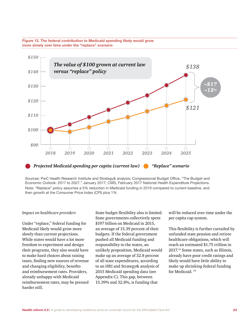



Sources: PwC Health Research Institute and Strategy& analysis; Congressional Budget Office, "The Budget and Economic Outlook: 2017 to 2027," January 2017; CMS, February 2017 National Health Expenditure Projections. Note: "Replace" policy assumes a 5% reduction in Medicaid funding in 2019 compared to current baseline, and then growth at the Consumer Price Index (CPI) plus 1%

#### *Impact on healthcare providers*

Under "replace," federal funding for Medicaid likely would grow more slowly than current projections. While states would have a lot more freedom to experiment and design their programs, they also would have to make hard choices about raising taxes, finding new sources of revenue and changing eligibility, benefits and reimbursement rates. Providers, already unhappy with Medicaid reimbursement rates, may be pressed harder still.

State budget flexibility also is limited. State governments collectively spent \$197 billion on Medicaid in 2015, an average of 15.39 percent of their budgets. If the federal government pushed all Medicaid funding and responsibility to the states, an unlikely proposition, Medicaid would make up an average of 32.8 percent of all state expenditures, according to an HRI and Strategy& analysis of 2015 Medicaid spending data (see Appendix C). This gap, between 15.39% and 32.8%, is funding that

will be reduced over time under the per capita cap system.

This flexibility is further curtailed by unfunded state pension and retiree healthcare obligations, which will reach an estimated \$1.75 trillion in 2017.33 Some states, such as Illinois, already have poor credit ratings and likely would have little ability to make up shrinking federal funding for Medicaid. <sup>34</sup>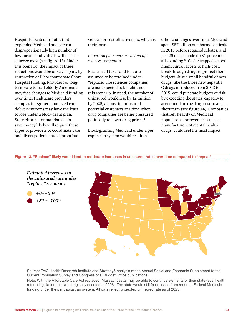Hospitals located in states that expanded Medicaid and serve a disproportionately high number of low-income individuals will feel the squeeze most (see figure 13). Under this scenario, the impact of these reductions would be offset, in part, by restoration of Disproportionate Share Hospital funding. Providers of longterm care to frail elderly Americans may face changes to Medicaid funding over time. Healthcare providers set up as integrated, managed care delivery systems may have the least to lose under a block-grant plan. State efforts—or mandates—to save money likely will require these types of providers to coordinate care and divert patients into appropriate

venues for cost-effectiveness, which is their forte.

#### *Impact on pharmaceutical and life sciences companies*

Because all taxes and fees are assumed to be retained under "replace," life sciences companies are not expected to benefit under this scenario. Instead, the number of uninsured would rise by 12 million by 2025, a boost in uninsured potential customers at a time when drug companies are being pressured politically to lower drug prices.<sup>35</sup>

Block-granting Medicaid under a per capita cap system would result in

other challenges over time. Medicaid spent \$57 billion on pharmaceuticals in 2015 before required rebates, and just 25 drugs made up 31 percent of all spending.36 Cash-strapped states might curtail access to high-cost, breakthrough drugs to protect their budgets. Just a small handful of new drugs, like the three new hepatitis C drugs introduced from 2013 to 2015, could put state budgets at risk by exceeding the states' capacity to accommodate the drug costs over the short term (see figure 14). Companies that rely heavily on Medicaid populations for revenues, such as manufacturers of mental health drugs, could feel the most impact.

*"Replace" likely would lead to moderate increases in uninsured rates over time compared to "repeal"* **Figure 13. "Replace" likely would lead to moderate increases in uninsured rates over time compared to "repeal"**



Source: PwC Health Research Institute and Strategy& analysis of the Annual Social and Economic Supplement to the Current Population Survey and Congressional Budget Office publications.

Note: With the Affordable Care Act replaced, Massachusetts may be able to continue elements of their state-level health reform legislation that was originally enacted in 2006. The state would still face losses from reduced Federal Medicaid funding under the per capita cap system. All data reflect projected uninsured rate as of 2025.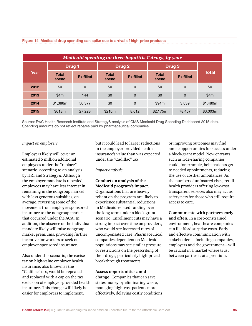| Medicaid spending on three hepatitis C drugs, by year |                       |                  |                       |                   |                       |                  |              |
|-------------------------------------------------------|-----------------------|------------------|-----------------------|-------------------|-----------------------|------------------|--------------|
|                                                       | Drug <sub>1</sub>     |                  |                       | Drug <sub>2</sub> |                       | Drug 3           |              |
| Year                                                  | <b>Total</b><br>spend | <b>Rx filled</b> | <b>Total</b><br>spend | <b>Rx filled</b>  | <b>Total</b><br>spend | <b>Rx filled</b> | <b>Total</b> |
| 2012                                                  | \$0                   | 0                | \$0                   | 0                 | \$0                   | $\mathbf 0$      | \$0          |
| 2013                                                  | \$4m                  | 144              | \$0                   | 0                 | \$0                   | $\Omega$         | \$4m         |
| 2014                                                  | \$1,386m              | 50,377           | \$0                   | 0                 | \$94m                 | 3.039            | \$1,480m     |
| 2015                                                  | \$618m                | 27,228           | \$210m                | 8,612             | \$2,175m              | 78,467           | \$3,003m     |

# *Medicaid drug spending can spike due to arrival of highprice products* **Figure 14. Medicaid drug spending can spike due to arrival of high-price products**

Source: PwC Health Research Institute and Strategy& analysis of CMS Medicaid Drug Spending Dashboard 2015 data. Spending amounts do not reflect rebates paid by pharmaceutical companies.

#### *Impact on employers*

Employers likely will cover an estimated 5 million additional employees under the "replace" scenario, according to an analysis by HRI and Strategy&. Although the employer mandate is repealed, employees may have less interest in remaining in the nongroup market with less generous subsidies, on average, reversing some of the movement from employer-sponsored insurance to the nongroup market that occurred under the ACA. In addition, the absence of the individual mandate likely will raise nongroup market premiums, providing further incentive for workers to seek out employer-sponsored insurance.

Also under this scenario, the excise tax on high-value employer health insurance, also known as the "Cadillac" tax, would be repealed and replaced with a cap on the tax exclusion of employer-provided health insurance. This change will likely be easier for employers to implement,

but it could lead to larger reductions in the employer-provided health insurance's value than was expected under the "Cadillac" tax.

#### *Impact analysis*

#### **Conduct an analysis of the Medicaid program's impact.** Organizations that are heavily reliant on the program are likely to experience substantial reductions in Medicaid-related funding over the long term under a block-grant scenario. Enrollment cuts may have a strong impact over time on providers, who would see increased rates of uncompensated care. Pharmaceutical companies dependent on Medicaid populations may see similar pressure or restrictions on the prescribing of their drugs, particularly high-priced breakthrough treatments.

#### **Assess opportunities amid**

**change.** Companies that can save states money by eliminating waste, managing high-cost patients more effectively, delaying costly conditions or improving outcomes may find ample opportunities for success under a block-grant model. New entrants such as ride-sharing companies could, for example, help patients get to needed appointments, reducing the use of costlier ambulances. As the number of uninsured rises, retail health providers offering low-cost, transparent services also may act as safety nets for those who still require access to care.

**Communicate with partners early and often.** In a cost-constrained environment, healthcare companies can ill afford surprise costs. Early and effective communication with stakeholders—including companies, employers and the government—will be crucial in a market where trust between parties is at a premium.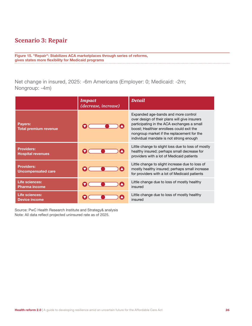# **Scenario 3: Repair**

*"Repair": Stabilizes ACA marketplaces through series of*  **gives states more flexibility for Medicaid programs Figure 15. "Repair": Stabilizes ACA marketplaces through series of reforms,** 

Net change in insured, 2025: -6m Americans (Employer: 0; Medicaid: -2m; Nongroup: -4m)

|                                                | <b>Impact</b><br>(decrease, increase) | Detail                                                                                                                                                                                                                                                                   |
|------------------------------------------------|---------------------------------------|--------------------------------------------------------------------------------------------------------------------------------------------------------------------------------------------------------------------------------------------------------------------------|
| Payers:<br><b>Total premium revenue</b>        |                                       | Expanded age-bands and more control<br>over design of their plans will give insurers<br>participating in the ACA exchanges a small<br>boost; Healthier enrollees could exit the<br>nongroup market if the replacement for the<br>individual mandate is not strong enough |
| <b>Providers:</b><br><b>Hospital revenues</b>  |                                       | Little change to slight loss due to loss of mostly<br>healthy insured; perhaps small decrease for<br>providers with a lot of Medicaid patients                                                                                                                           |
| <b>Providers:</b><br><b>Uncompensated care</b> |                                       | Little change to slight increase due to loss of<br>mostly healthy insured; perhaps small increase<br>for providers with a lot of Medicaid patients                                                                                                                       |
| Life sciences:<br><b>Pharma income</b>         |                                       | Little change due to loss of mostly healthy<br>insured                                                                                                                                                                                                                   |
| Life sciences:<br><b>Device income</b>         |                                       | Little change due to loss of mostly healthy<br>insured                                                                                                                                                                                                                   |

Source: PwC Health Research Institute and Strategy& analysis Note: All data reflect projected uninsured rate as of 2025.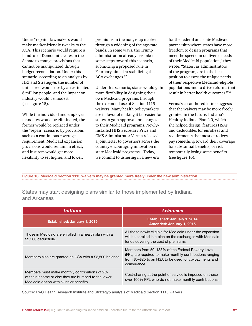Under "repair," lawmakers would make market-friendly tweaks to the ACA. This scenario would require a handful of Democratic votes in the Senate to change provisions that cannot be manipulated through budget reconciliation. Under this scenario, according to an analysis by HRI and Strategy&, the number of uninsured would rise by an estimated 6 million people, and the impact on industry would be modest (see figure 15).

While the individual and employer mandates would be eliminated, the former would be replaced under the "repair" scenario by provisions such as a continuous coverage requirement. Medicaid expansion provisions would remain in effect, and insurers would get more flexibility to set higher, and lower,

premiums in the nongroup market through a widening of the age-rate bands. In some ways, the Trump administration already has taken some steps toward this scenario, submitting a proposed rule in February aimed at stabilizing the ACA exchanges.<sup>37</sup>

Under this scenario, states would gain more flexibility in designing their own Medicaid programs through the expanded use of Section 1115 waivers. Many health policymakers are in favor of making it far easier for states to gain approval for changes to their Medicaid programs. Newlyinstalled HHS Secretary Price and CMS Administrator Verma released a joint letter to governors across the country encouraging innovation in state Medicaid programs. "Today, we commit to ushering in a new era

for the federal and state Medicaid partnership where states have more freedom to design programs that meet the spectrum of diverse needs of their Medicaid population," they wrote. "States, as administrators of the program, are in the best position to assess the unique needs of their respective Medicaid-eligible populations and to drive reforms that result in better health outcomes."<sup>38</sup>

Verma's co-authored letter suggests that the waivers may be more freely granted in the future. Indiana's Healthy Indiana Plan 2.0, which she helped design, features HSAs and deductibles for enrollees and requirements that most enrollees pay something toward their coverage for substantial benefits, or risk temporarily losing some benefits (see figure 16).

*Medicaid Section 1115 waivers may be granted more freely*  **Figure 16. Medicaid Section 1115 waivers may be granted more freely under the new administration***under the new administration*

States may start designing plans similar to those implemented by Indiana and Arkansas

| <i>Indiana</i>                                                                                                                                   | <b>Arkansas</b>                                                                                                                                                                        |
|--------------------------------------------------------------------------------------------------------------------------------------------------|----------------------------------------------------------------------------------------------------------------------------------------------------------------------------------------|
| <b>Established: January 1, 2015</b>                                                                                                              | <b>Established: January 1, 2014</b><br>Amended: January 1, 2015                                                                                                                        |
| Those in Medicaid are enrolled in a health plan with a<br>\$2,500 deductible.                                                                    | All those newly eligible for Medicaid under the expansion<br>will be enrolled in a plan on the exchanges with Medicaid<br>funds covering the cost of premiums.                         |
| Members also are granted an HSA with a \$2,500 balance                                                                                           | Members from 50–138% of the Federal Poverty Level<br>(FPL) are required to make monthly contributions ranging<br>from \$5-\$25 to an HSA to be used for co-payments and<br>coinsurance |
| Members must make monthly contributions of 2%<br>of their income or else they are bumped to the lower<br>Medicaid option with skinnier benefits. | Cost-sharing at the point of service is imposed on those<br>over 100% FPL who do not make monthly contributions.                                                                       |

Source: PwC Health Research Institute and Strategy& analysis of Medicaid Section 1115 waivers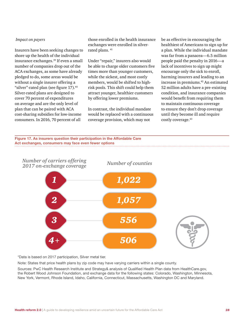#### *Impact on payers*

Insurers have been seeking changes to shore up the health of the individual insurance exchanges.39 If even a small number of companies drop out of the ACA exchanges, as some have already pledged to do, some areas would be without a single insurer offering a "silver"-rated plan (see figure 17).<sup>40</sup> Silver-rated plans are designed to cover 70 percent of expenditures on average and are the only level of plan that can be paired with ACA cost-sharing subsidies for low-income consumers. In 2016, 70 percent of all

those enrolled in the health insurance exchanges were enrolled in silverrated plans.<sup>41</sup>

Under "repair," insurers also would be able to charge older customers five times more than younger customers, while the sickest, and most costly members, would be shifted to highrisk pools. This shift could help them attract younger, healthier customers by offering lower premiums.

In contrast, the individual mandate would be replaced with a continuous coverage provision, which may not

be as effective in encouraging the healthiest of Americans to sign up for a plan. While the individual mandate was far from a panacea—6.5 million people paid the penalty in 2016—a lack of incentives to sign up might encourage only the sick to enroll, harming insurers and leading to an increase in premiums.<sup>42</sup> An estimated 52 million adults have a pre-existing condition, and insurance companies would benefit from requiring them to maintain continuous coverage to ensure they don't drop coverage until they become ill and require costly coverage.<sup>43</sup>





\*Data is based on 2017 participation, Silver metal tier.

Note: States that price health plans by zip code may have varying carriers within a single county.

Sources: PwC Health Research Institute and Strategy& analysis of Qualified Health Plan data from HealthCare.gov, the Robert Wood Johnson Foundation, and exchange data for the following states: Colorado, Washington, Minnesota, New York, Vermont, Rhode Island, Idaho, California, Connecticut, Massachusetts, Washington DC and Maryland.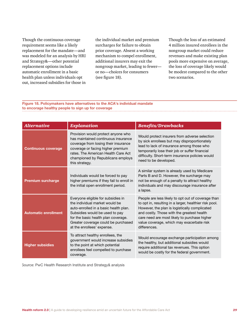Though the continuous coverage requirement seems like a likely replacement for the mandate—and was modeled for an analysis by HRI and Strategy&—other potential replacement options include automatic enrollment in a basic health plan unless individuals opt out, increased subsidies for those in the individual market and premium surcharges for failure to obtain prior coverage. Absent a working mechanism to compel enrollment, additional insurers may exit the nongroup market, leading to fewer or no—choices for consumers (see figure 18).

Though the loss of an estimated 4 million insured enrollees in the nongroup market could reduce revenues and make existing plan pools more expensive on average, the loss of coverage likely would be modest compared to the other two scenarios.

*Policymakers have alternatives to the ACA's individual mandate*<br>to encorage healthy people to sign up for coverage *mandate to encourage healthy people to sign up for coverage* **to encorage healthy people to sign up for coverageFigure 18. Policymakers have alternatives to the ACA's individual mandate** 

| <b>Alternative</b>          | <b>Explanation</b>                                                                                                                                                                                                                                          | <b>Benefits/Drawbacks</b>                                                                                                                                                                                                                                                                                                |  |
|-----------------------------|-------------------------------------------------------------------------------------------------------------------------------------------------------------------------------------------------------------------------------------------------------------|--------------------------------------------------------------------------------------------------------------------------------------------------------------------------------------------------------------------------------------------------------------------------------------------------------------------------|--|
| <b>Continuous coverage</b>  | Provision would protect anyone who<br>has maintained continuous insurance<br>coverage from losing their insurance<br>coverage or facing higher premium<br>rates. The American Health Care Act<br>championed by Republicans employs<br>this strategy.        | Would protect insurers from adverse selection<br>by sick enrollees but may disproportionately<br>lead to lack of insurance among those who<br>temporarily lose their job or suffer financial<br>difficulty. Short-term insurance policies would<br>need to be developed.                                                 |  |
| <b>Premium surcharge</b>    | Individuals would be forced to pay<br>higher premiums if they fail to enroll in<br>the initial open enrollment period.                                                                                                                                      | A similar system is already used by Medicare<br>Parts B and D. However, the surcharge may<br>not be enough of a penalty to attract healthy<br>individuals and may discourage insurance after<br>a lapse.                                                                                                                 |  |
| <b>Automatic enrollment</b> | Everyone eligible for subsidies in<br>the individual market would be<br>auto-enrolled in a basic health plan.<br>Subsidies would be used to pay<br>for the basic health plan coverage.<br>Greater coverage could be purchased<br>at the enrollees' expense. | People are less likely to opt out of coverage than<br>to opt in, resulting in a larger, healthier risk pool.<br>However, the plan is logistically complicated<br>and costly. Those with the greatest health<br>care need are most likely to purchase higher<br>value coverage, which may exacerbate risk<br>differences. |  |
| <b>Higher subsidies</b>     | To attract healthy enrollees, the<br>government would increase subsidies<br>to the point at which potential<br>enrollees feel compelled to purchase<br>coverage.                                                                                            | Would encourage exchange participation among<br>the healthy, but additional subsidies would<br>require additional tax revenues. This option<br>would be costly for the federal government.                                                                                                                               |  |

Source: PwC Health Research Institute and Strategy& analysis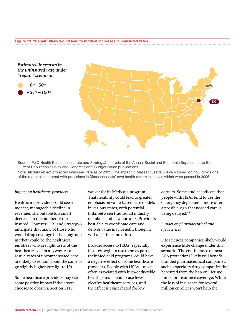*Estimated increases in the uninsured rate under "repair" scenario:*

*+0%−50% +51%−100%*



Source: PwC Health Research Institute and Strategy& analysis of the Annual Social and Economic Supplement to the Current Population Survey and Congressional Budget Office publications.

Note: All data reflect projected uninsured rate as of 2025. The impact in Massachusetts will vary based on how provisions of the repair plan interact with provisions in Massachusetts' own health reform initiatives which were passed in 2006.

#### *Impact on healthcare providers*

Healthcare providers could see a modest, manageable decline in revenues attributable to a small decrease in the number of the insured. However, HRI and Strategy& anticipate that many of those who would drop coverage in the nongroup market would be the healthiest enrollees who are light users of the healthcare system anyway. As a result, rates of uncompensated care are likely to remain about the same or go slightly higher (see figure 19).

Some healthcare providers may see some positive impact if their state chooses to obtain a Section 1115

waiver for its Medicaid program. That flexibility could lead to greater emphasis on value-based care models in various states, with potential links between traditional industry members and new entrants. Providers best able to coordinate care and deliver value may benefit, though it will take time and effort.

Broader access to HSAs, especially if states begin to use them as part of their Medicaid programs, could have a negative effect on some healthcare providers. People with HSAs—most often associated with high-deductible health plans—tend to use fewer elective healthcare services, and the effect is exacerbated for low

earners. Some studies indicate that people with HSAs tend to use the emergency department more often, a possible sign that needed care is being delayed.<sup>44</sup>

#### *Impact on pharmaceutical and life sciences*

Life sciences companies likely would experience little change under this scenario. The continuance of most ACA protections likely will benefit branded pharmaceutical companies, such as specialty drug companies that benefited from the ban on lifetime limits for insurance coverage. While the loss of insurance for several million enrollees won't help the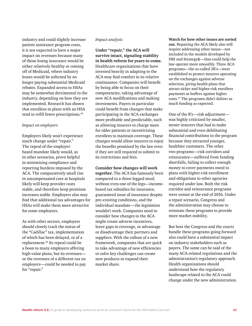industry and could slightly increase patient assistance program costs, it is not expected to have a major impact on revenues because many of those losing insurance would be either relatively healthy or coming off of Medicaid, where industry losses would be softened by no longer paying substantial Medicaid rebates. Expanded access to HSAs may be somewhat detrimental to the industry, depending on how they are implemented. Research has shown that enrollees in plans with an HSA tend to refill fewer prescriptions.<sup>45</sup>

#### *Impact on employers*

Employers likely won't experience much change under "repair." The repeal of the employerbased mandate likely would, as in other scenarios, prove helpful in minimizing compliance and reporting burdens imposed by the ACA. The comparatively small rise in uncompensated care at hospitals likely will keep provider costs stable, and therefore keep premium increases stable. Employers also may find that additional tax advantages for HSAs will make them more attractive for some employees.

As with other sectors, employers should closely track the status of the "Cadillac" tax, implementation of which has been delayed, or of a replacement.46 Its repeal could be a boon to many employers offering high-value plans, but its revenues or the revenues of a different tax on employers—could be needed to pay for "repair."

#### *Impact analysis*

**Under "repair," the ACA will survive intact, signaling stability in health reform for years to come.** Healthcare organizations that have invested heavily in adapting to the ACA may find comfort in its relative continuance. Companies will benefit by being able to focus on their competencies, taking advantage of new ACA modifications and making investments. Payers in particular could benefit from changes that make participating in the ACA exchanges more profitable and predictable, such as allowing insurers to charge more for older patients or incentivizing enrollees to maintain coverage. These changes would allow insurers to enjoy the benefits promised by the law even if they are still required to submit to its restrictions and fees.

#### **Consider how changes will work**

**together.** The ACA has famously been compared to a three-legged stool; without even one of the legs—incomebased tax subsidies for insurance, guaranteed issue of insurance despite pre-existing conditions, and the individual mandate—the legislation wouldn't work. Companies need to consider how changes to the ACA might create adverse incentives, leave gaps in coverage, or advantage or disadvantage their partners and suppliers. With the rollout of a new framework, companies that are quick to take advantage of new efficiencies or solve key challenges can create new products or expand their market share.

#### **Watch for how other issues are sorted out.** Repairing the ACA likely also will require addressing other issues—not included in the models developed by HRI and Strategy&—that could help the law operate more smoothly. Three ACA programs—the so-called 3R's—were established to protect insurers operating on the exchanges against adverse selection, giving health plans that attract sicker and higher-risk enrollees payments as buffers against higher costs.47 The programs didn't deliver as much funding as expected.

One of the R's—risk adjustment was highly criticized by smaller, newer insurers that had to make substantial and even debilitating financial contributions to the program because they attracted younger, healthier customers. The other two programs—risk corridors and reinsurance—suffered from funding shortfalls, failing to collect enough money to cover payments owed to plans with higher-risk enrollment and obligations to other agencies required under law. Both the risk corridor and reinsurance programs were sunset at the end of 2016. Under a repair scenario, Congress and the administration may choose to reinstate these programs to provide more market stability.

But how the Congress and the courts handle these programs going forward also could have a substantial impact on industry stakeholders such as payers. The same can be said of the many ACA-related regulations and the administration's regulatory approach. Health organizations should understand how the regulatory landscape related to the ACA could change under the new administration.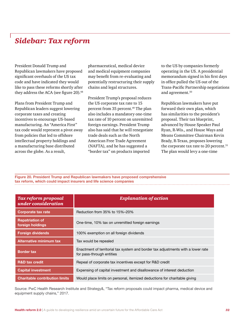# *Sidebar: Tax reform*

President Donald Trump and Republican lawmakers have proposed significant overhauls of the US tax code and have indicated they would like to pass these reforms shortly after they address the ACA (see figure 20).<sup>48</sup>

Plans from President Trump and Republican leaders suggest lowering corporate taxes and creating incentives to encourage US-based manufacturing. An "America First" tax code would represent a pivot away from policies that led to offshore intellectual property holdings and a manufacturing base distributed across the globe. As a result,

pharmaceutical, medical device and medical equipment companies may benefit from re-evaluating and potentially restructuring their supply chains and legal structures.

President Trump's proposal reduces the US corporate tax rate to 15 percent from 35 percent.<sup>49</sup> The plan also includes a mandatory one-time tax rate of 10 percent on unremitted foreign earnings. President Trump also has said that he will renegotiate trade deals such as the North American Free Trade Agreement (NAFTA), and he has suggested a "border tax" on products imported

to the US by companies formerly operating in the US. A presidential memorandum signed in his first days in office pulled the US out of the Trans-Pacific Partnership negotiations and agreement.<sup>50</sup>

Republican lawmakers have put forward their own plan, which has similarities to the president's proposal. Their tax blueprint, advanced by House Speaker Paul Ryan, R-Wis., and House Ways and Means Committee Chairman Kevin Brady, R-Texas, proposes lowering the corporate tax rate to 20 percent.<sup>51</sup> The plan would levy a one-time

*comprehensive tax reform, which could impact insurers and*  **Figure 20. President Trump and Republican lawmakers have proposed comprehensive**  *life science companies* **tax reform, which could impact insurers and life science companies**

| <b>Tax reform proposal</b><br>under consideration | <b>Explanation of action</b>                                                                                  |
|---------------------------------------------------|---------------------------------------------------------------------------------------------------------------|
| <b>Corporate tax rate</b>                         | Reduction from 35% to 15%-20%                                                                                 |
| <b>Repatriation of</b><br>foreign holdings        | One-time, 10% tax on unremitted foreign earnings                                                              |
| <b>Foreign dividends</b>                          | 100% exemption on all foreign dividends                                                                       |
| <b>Alternative minimum tax</b>                    | Tax would be repealed                                                                                         |
| <b>Border tax</b>                                 | Enactment of territorial tax system and border tax adjustments with a lower rate<br>for pass-through entities |
| <b>R&amp;D tax credit</b>                         | Repeal of corporate tax incentives except for R&D credit                                                      |
| <b>Capital investment</b>                         | Expensing of capital investment and disallowance of interest deduction                                        |
| <b>Charitable contribution limits</b>             | Would place limits on personal, itemized deductions for charitable giving                                     |

Source: PwC Health Research Institute and Strategy&, "Tax reform proposals could impact pharma, medical device and equipment supply chains," 2017.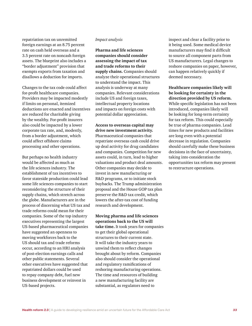repatriation tax on unremitted foreign earnings at an 8.75 percent rate on cash held overseas and a 3.5 percent rate on noncash foreign assets. The blueprint also includes a "border adjustment" provision that exempts exports from taxation and disallows a deduction for imports.

Changes to the tax code could affect for-profit healthcare companies. Providers may be impacted modestly if limits on personal, itemized deductions are enacted and incentives are reduced for charitable giving by the wealthy. For-profit insurers also could be impacted by a lower corporate tax rate, and, modestly, from a border adjustment, which could affect offshore claims processing and other operations.

But perhaps no health industry would be affected as much as the life sciences industry. The establishment of tax incentives to favor stateside production could lead some life sciences companies to start reconsidering the structure of their supply chains, which stretch across the globe. Manufacturers are in the process of discerning what US tax and trade reforms could mean for their companies. Some of the top industry executives representing the largest US-based pharmaceutical companies have suggested an openness to moving workforces back to the US should tax and trade reforms occur, according to an HRI analysis of post-election earnings calls and other public statements. Several other executives have suggested that repatriated dollars could be used to repay company debt, fuel new business development or reinvest in US-based projects.

#### *Impact analysis*

**Pharma and life sciences companies should consider assessing the impact of tax and trade reforms to their supply chains.** Companies should analyze their operational structures to understand the impact. This analysis is underway at many companies. Relevant considerations include US and foreign taxes, intellectual property locations and impacts on foreign costs with potential dollar appreciation.

**Access to overseas capital may drive new investment activity.**  Pharmaceutical companies that repatriate overseas cash could drive up deal activity for drug candidates and companies. Competition for new assets could, in turn, lead to higher valuations and product deal amounts. Other companies may decide to invest in new manufacturing or R&D programs, or to initiate stock buybacks. The Trump administration proposal and the House GOP tax plan preserve the R&D tax credit, which lowers the after-tax cost of funding research and development.

**Moving pharma and life sciences operations back to the US will take time.** It took years for companies to get their global operational structures to their current state. It will take the industry years to unwind them to reflect changes brought about by reform. Companies also should consider the operational and regulatory ramifications of reshoring manufacturing operations. The time and resources of building a new manufacturing facility are substantial, as regulators need to

inspect and clear a facility prior to it being used. Some medical device manufacturers may find it difficult to source all component parts from US manufacturers. Legal changes to reshore companies on paper, however, can happen relatively quickly if deemed necessary.

**Healthcare companies likely will be looking for certainty in the direction provided by US reform.** While specific legislation has not been introduced, companies likely will be looking for long-term certainty for tax reform. This could especially be true of pharma companies. Lead times for new products and facilities are long even with a potential decrease in regulation. Companies should carefully make these business decisions in the face of uncertainty, taking into consideration the opportunities tax reform may present to restructure operations.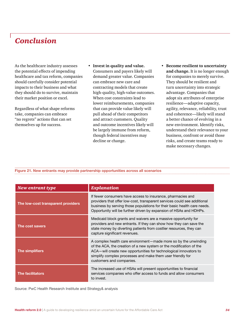# *Conclusion*

As the healthcare industry assesses the potential effects of impending healthcare and tax reform, companies should carefully consider potential impacts to their business and what they should do to survive, maintain their market position or excel.

Regardless of what shape reforms take, companies can embrace "no regrets" actions that can set themselves up for success.

- **• Invest in quality and value.** Consumers and payers likely will demand greater value. Companies can embrace new care and contracting models that create high-quality, high-value outcomes. When cost constraints lead to lower reimbursements, companies that can provide value likely will pull ahead of their competitors and attract customers. Quality and outcome incentives likely will be largely immune from reform, though federal incentives may decline or change.
- **• Become resilient to uncertainty and change.** It is no longer enough for companies to merely survive. They should be resilient and turn uncertainty into strategic advantage. Companies that adopt six attributes of enterprise resilience—adaptive capacity, agility, relevance, reliability, trust and coherence—likely will stand a better chance of evolving in a new environment. Identify risks, understand their relevance to your business, confront or avoid those risks, and create teams ready to make necessary changes.

# *New entrants may provide partnership opportunities across all scenarios* **Figure 21. New entrants may provide partnership opportunities across all scenarios**

| New entrant type                   | <b>Explanation</b>                                                                                                                                                                                                                                                                                    |
|------------------------------------|-------------------------------------------------------------------------------------------------------------------------------------------------------------------------------------------------------------------------------------------------------------------------------------------------------|
| The low-cost transparent providers | If fewer consumers have access to insurance, pharmacies and<br>providers that offer low-cost, transparent services could see additional<br>business by serving those populations for their basic health care needs.<br>Opportunity will be further driven by expansion of HSAs and HDHPs.             |
| The cost savers                    | Medicaid block grants and waivers are a massive opportunity for<br>providers and new entrants. If they can show how they can save the<br>state money by diverting patients from costlier resources, they can<br>capture significant revenues.                                                         |
| The simplifiers                    | A complex health care environment—made more so by the unwinding<br>of the ACA, the creation of a new system or the modification of the<br>ACA—will create new opportunities for technological innovators to<br>simplify complex processes and make them user friendly for<br>customers and companies. |
| <b>The facilitators</b>            | The increased use of HSAs will present opportunities to financial<br>services companies who offer access to funds and allow consumers<br>to invest.                                                                                                                                                   |

Source: PwC Health Research Institute and Strategy& analysis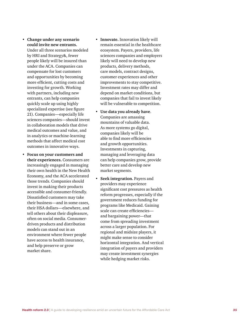- **Change to the state of the control in the care Affordable Care Act Affordable Care Act Affordable Care Act**  $\alpha$  **Care Act**  $\alpha$  **Care Act**  $\alpha$  **Care Act**  $\alpha$  **Care Act**  $\alpha$  **Care Act**  $\alpha$  **Care Act**  $\alpha$  **Care Act**  $\alpha$  **Care Act could invite new entrants.** Under all three scenarios modeled by HRI and Strategy&, fewer people likely will be insured than under the ACA. Companies can compensate for lost customers and opportunities by becoming more efficient, cutting costs and investing for growth. Working with partners, including new entrants, can help companies quickly scale up using highly specialized expertise (see figure 21). Companies—especially life sciences companies—should invest in collaboration models that drive medical outcomes and value, and in analytics or machine-learning methods that affect medical cost outcomes in innovative ways.
- **• Focus on your customers and their experiences.** Consumers are increasingly engaged in managing their own health in the New Health Economy, and the ACA accelerated those trends. Companies should invest in making their products accessible and consumer-friendly. Dissatisfied customers may take their business—and in some cases, their HSA dollars—elsewhere, and tell others about their displeasure, often on social media. Consumerdriven products and distribution models can stand out in an environment where fewer people have access to health insurance, and help preserve or grow market share.
- **• Innovate.** Innovation likely will remain essential in the healthcare ecosystem. Payers, providers, life sciences companies and employers likely will need to develop new products, delivery methods, care models, contract designs, customer experiences and other improvements to stay competitive. Investment rates may differ and depend on market conditions, but companies that fail to invest likely will be vulnerable to competition.
- **• Use data you already have**. Companies are amassing mountains of valuable data. As more systems go digital, companies likely will be able to find more efficiencies and growth opportunities. Investments in capturing, managing and leveraging data can help companies grow, provide better care and develop new market segments.
- **• Seek integration.** Payers and providers may experience significant cost pressures as health reform progresses, especially if the government reduces funding for programs like Medicaid. Gaining scale can create efficiencies and bargaining power—that come from spreading investment across a larger population. For regional and midsize players, it might make sense to consider horizontal integration. And vertical integration of payers and providers may create investment synergies while hedging market risks.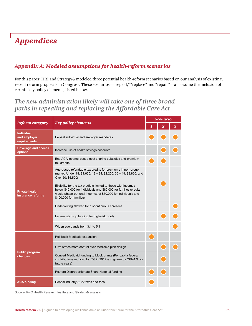# *Appendices*

### *Appendix A: Modeled assumptions for health-reform scenarios*

For this paper, HRI and Strategy& modeled three potential health-reform scenarios based on our analysis of existing, recent reform proposals in Congress. These scenarios—"repeal," "replace" and "repair"—all assume the inclusion of certain key policy elements, listed below.

*The new administration likely will take one of three broad paths in repealing and replacing the Affordable Care Act*

|                                                   |                                                                                                                                                                                                                                   | <b>Scenario</b> |                |   |  |  |
|---------------------------------------------------|-----------------------------------------------------------------------------------------------------------------------------------------------------------------------------------------------------------------------------------|-----------------|----------------|---|--|--|
| <b>Reform category</b>                            | <b>Key policy elements</b>                                                                                                                                                                                                        |                 | $\overline{2}$ | 3 |  |  |
| <b>Individual</b><br>and employer<br>requirements | Repeal individual and employer mandates                                                                                                                                                                                           |                 |                |   |  |  |
| <b>Coverage and access</b><br>options             | Increase use of health savings accounts                                                                                                                                                                                           |                 |                |   |  |  |
|                                                   | End ACA income-based cost sharing subsidies and premium<br>tax credits                                                                                                                                                            |                 |                |   |  |  |
|                                                   | Age-based refundable tax credits for premiums in non-group<br>market (Under 18: \$1,650; 18 - 34: \$2,200; 35 - 49: \$3,850; and<br>Over 50: \$5,500)                                                                             |                 |                |   |  |  |
| <b>Private health</b><br>insurance reforms        | Eligibility for the tax credit is limited to those with incomes<br>below \$40,000 for individuals and \$80,000 for families (credits<br>would phase-out until incomes of \$50,000 for individuals and<br>\$100,000 for families). |                 |                |   |  |  |
|                                                   | Underwriting allowed for discontinuous enrollees                                                                                                                                                                                  |                 |                |   |  |  |
|                                                   | Federal start-up funding for high-risk pools                                                                                                                                                                                      |                 |                |   |  |  |
|                                                   | Widen age bands from 3:1 to 5:1                                                                                                                                                                                                   |                 |                |   |  |  |
|                                                   | Roll back Medicaid expansion                                                                                                                                                                                                      |                 |                |   |  |  |
|                                                   | Give states more control over Medicaid plan design                                                                                                                                                                                |                 |                |   |  |  |
| <b>Public program</b><br>changes                  | Convert Medicaid funding to block grants (Per capita federal<br>contributions reduced by 5% in 2019 and grown by CPI+1% for<br>future years)                                                                                      |                 |                |   |  |  |
|                                                   | Restore Disproportionate Share Hospital funding                                                                                                                                                                                   |                 |                |   |  |  |
| <b>ACA funding</b>                                | Repeal industry ACA taxes and fees                                                                                                                                                                                                |                 |                |   |  |  |

#### Source: PwC Health Research Institute and Strategy& analysis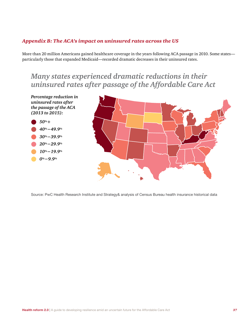### *Appendix B: The ACA's impact on uninsured rates across the US*

More than 20 million Americans gained healthcare coverage in the years following ACA passage in 2010. Some states particularly those that expanded Medicaid—recorded dramatic decreases in their uninsured rates.

# *Many states experienced dramatic reductions in their uninsured rates after passage of the Affordable Care Act*



Source: PwC Health Research Institute and Strategy& analysis of Census Bureau health insurance historical data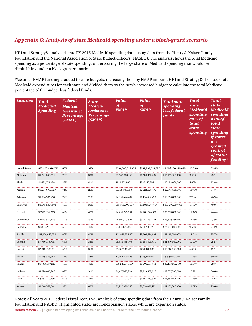### *Appendix C: Analysis of state Medicaid spending under a block-grant scenario*

HRI and Strategy& analyzed state FY 2015 Medicaid spending data, using data from the Henry J. Kaiser Family Foundation and the National Association of State Budget Officers (NASBO). The analysis shows the total Medicaid spending as a percentage of state spending, underscoring the large share of Medicaid spending that would be diminishing under a block grant scenario.

\*Assumes FMAP funding is added to state budgets, increasing them by FMAP amount. HRI and Strategy& then took total Medicaid expenditures for each state and divided them by the newly increased budget to calculate the total Medicaid percentage of the budget less federal funds.

| <b>Location</b>      | <b>Total</b><br><b>Medicaid</b><br><b>Spending</b> | <b>Federal</b><br><b>Medical</b><br><b>Assistance</b><br>Percentage<br>(FMAP) | <b>State</b><br><b>Medical</b><br><b>Assistance</b><br>Percentage<br>(SMAP) | <b>Value</b><br>of<br><b>FMAP</b> | Value<br>of<br><b>SMAP</b> | <b>Total state</b><br>spending<br>less federal<br>funds | <b>Total</b><br><b>state</b><br><b>Medicaid</b><br>spending<br>as % of<br>total<br>state<br>spending | <b>Total</b><br><b>state</b><br><b>Medicaid</b><br>spending<br>as % of<br>total<br><b>state</b><br>spending<br><i>if states</i><br>are<br>granted<br>control<br><b>of FMAP</b><br>funding* |
|----------------------|----------------------------------------------------|-------------------------------------------------------------------------------|-----------------------------------------------------------------------------|-----------------------------------|----------------------------|---------------------------------------------------------|------------------------------------------------------------------------------------------------------|--------------------------------------------------------------------------------------------------------------------------------------------------------------------------------------------|
| <b>United States</b> | \$532,233,348,782                                  | 63%                                                                           | 37%                                                                         | \$334,300,819,455                 | \$197,932,529,327          | \$1,286,138,279,670                                     | 15.39%                                                                                               | 32.8%                                                                                                                                                                                      |
| Alabama              | \$5,294,253,591                                    | 70%                                                                           | 30%                                                                         | \$3,684,800,499                   | \$1,609,453,092            | \$17,441,000,000                                        | 9.23%                                                                                                | 25.1%                                                                                                                                                                                      |
| Alaska               | \$1,421,672,896                                    | 59%                                                                           | 41%                                                                         | \$834,521,990                     | \$587,150,906              | \$10,493,060,000                                        | 5.60%                                                                                                | 12.6%                                                                                                                                                                                      |
| Arizona              | \$10,640,737,029                                   | 74%<br>                                                                       | 26%                                                                         | \$7,916,708,350                   | \$2,724,028,679            | \$22,745,600,000                                        | 11.98%                                                                                               | 34.7%                                                                                                                                                                                      |
| Arkansas             | \$5,536,506,974                                    | 79%                                                                           | 21%                                                                         | \$4,351,694,482                   | \$1,184,812,492            | \$16,668,800,000                                        | 7.11%                                                                                                | 26.3%                                                                                                                                                                                      |
| California           | \$85,438,074,091                                   | 63%                                                                           | 38%                                                                         | \$53,398,796,307                  | \$32,039,277,784           | \$160,295,000,000                                       | 19.99%                                                                                               | 40.0%                                                                                                                                                                                      |
| Colorado             | \$7,358,339,263                                    | 61%                                                                           | 40%                                                                         | \$4,451,795,254                   | \$2,906,544,009            | \$25,678,000,000                                        | 11.32%                                                                                               | 24.4%                                                                                                                                                                                      |
| Connecticut          | \$7,853,582,804                                    | 59%                                                                           | 41%                                                                         | \$4,602,199,523                   | \$3,251,383,281            | \$23,624,560,000                                        | 13.76%                                                                                               | 27.8%                                                                                                                                                                                      |
| Delaware             | \$1,861,996,175                                    | 60%<br>.                                                                      | 40%                                                                         | \$1,117,197,705                   | \$744,798,470              | \$7,706,000,000                                         | 9.67%                                                                                                | 21.1%                                                                                                                                                                                      |
| Florida              | \$21,476,052,754                                   | 60%                                                                           | 40%                                                                         | \$12,971,535,863                  | \$8,504,516,891            | \$47,131,000,000                                        | 18.04%                                                                                               | 35.7%                                                                                                                                                                                      |
| Georgia              | \$9,750,156,735                                    | 68%                                                                           | 33%                                                                         | \$6,581,355,796                   | \$3,168,800,939            | \$31,679,000,000                                        | 10.00%                                                                                               | 25.5%                                                                                                                                                                                      |
| Hawaii               | \$2,012,418,150                                    | 64%                                                                           | 36%                                                                         | \$1,287,947,616                   | \$724,470,534              | \$10,616,000,000                                        | 6.82%                                                                                                | 16.9%                                                                                                                                                                                      |
| Idaho                | \$1,729,535,449                                    | 72%                                                                           | 28%                                                                         | \$1,245,265,523                   | \$484,269,926              | \$4,429,800,000                                         | 10.93%                                                                                               | 30.5%                                                                                                                                                                                      |
| Illinois             | \$17,039,177,220                                   | 60%                                                                           | 40%                                                                         | \$10,240,545,509                  | \$6,798,631,711            | \$49,133,312,710                                        | 13.84%                                                                                               | 28.7%                                                                                                                                                                                      |
| Indiana              | \$9,328,435,988                                    | 69%<br>.                                                                      | 31%                                                                         | \$6,417,963,960                   | \$2,910,472,028            | \$19,037,000,000                                        | 15.29%                                                                                               | 36.6%                                                                                                                                                                                      |
| Iowa                 | \$4,563,170,736                                    | 64%                                                                           | 36%                                                                         | \$2,911,302,930                   | \$1,651,867,806            | \$15,653,000,000                                        | 10.55%                                                                                               | 24.6%                                                                                                                                                                                      |
| Kansas               | \$3,040,559,561                                    | 57%                                                                           | 43%                                                                         | \$1,730,078,390                   | \$1,310,481,171            | \$11,131,000,000                                        | 11.77%                                                                                               | 23.6%                                                                                                                                                                                      |

### Notes: All years 2015 Federal Fiscal Year. PwC analysis of state spending data from the Henry J. Kaiser Family Foundation and NASBO. Highlighted states are nonexpansion states; white are expansion states.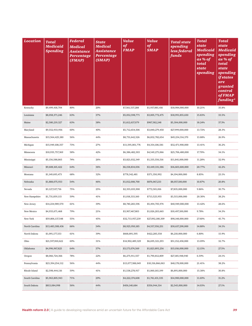| <b>Location</b> | <b>Total</b><br><b>Medicaid</b><br><b>Spending</b> | <b>Federal</b><br><b>Medical</b><br><b>Assistance</b><br>Percentage<br>(FMAP) | <b>State</b><br><b>Medical</b><br><b>Assistance</b><br>Percentage<br>(SMAP) | <b>Value</b><br>of<br><b>FMAP</b> | <b>Value</b><br>of<br><b>SMAP</b> | <b>Total state</b><br>spending<br>less federal<br>funds | <b>Total</b><br><i>state</i><br><b>Medicaid</b><br>spending<br>as % of<br>total<br>state<br>spending | <b>Total</b><br><i>state</i><br><b>Medicaid</b><br>spending<br>as % of<br>total<br>state<br>spending<br><i>if states</i><br>are<br>granted<br>control<br><b>of FMAP</b><br>funding* |
|-----------------|----------------------------------------------------|-------------------------------------------------------------------------------|-----------------------------------------------------------------------------|-----------------------------------|-----------------------------------|---------------------------------------------------------|------------------------------------------------------------------------------------------------------|-------------------------------------------------------------------------------------------------------------------------------------------------------------------------------------|
| Kentucky        | \$9,499,418,704                                    | 80%                                                                           | 20%                                                                         | \$7,561,537,288                   | \$1,937,881,416                   | \$18,984,000,000                                        | 10.21%                                                                                               | 35.8%                                                                                                                                                                               |
| Louisiana       | \$8,058,371,246                                    | 63%                                                                           | 37%                                                                         | \$5,052,598,771                   | \$3,005,772,475                   | \$18,991,855,650                                        | 15.83%                                                                                               | 33.5%                                                                                                                                                                               |
| Maine           | \$2,580,219,327                                    | 63%                                                                           | 38%                                                                         | \$1,612,637,079                   | \$967,582,248                     | \$5,304,000,000                                         | 18.24%                                                                                               | 37.3%                                                                                                                                                                               |
| Maryland        | \$9,552,933,956                                    | 60%                                                                           | 40%                                                                         | \$5,712,654,506                   | \$3,840,279,450                   | \$27,999,000,000                                        | 13.72%                                                                                               | 28.3%                                                                                                                                                                               |
| Massachusetts   | \$15,564,425,180                                   | 56%                                                                           | 44%                                                                         | \$8,731,642,526                   | \$6,832,782,654                   | \$49,234,314,370                                        | 13.88%                                                                                               | 26.9%                                                                                                                                                                               |
| Michigan        | \$15,949,108,357                                   | 73%                                                                           | 27%                                                                         | \$11,595,001,776                  | \$4,354,106,581                   | \$32,471,900,000                                        | 13.41%                                                                                               | 36.2%                                                                                                                                                                               |
| Minnesota       | \$10,935,757,369                                   | 58%                                                                           | 42%                                                                         | \$6,386,482,303                   | \$4,549,275,066                   | \$25,706,480,000                                        | 17.70%                                                                                               | 34.1%                                                                                                                                                                               |
| Mississippi     | \$5,156,588,865                                    | 74%                                                                           | 26%                                                                         | \$3,821,032,349                   | \$1,335,556,516                   | \$11,841,000,000                                        | 11.28%                                                                                               | 32.9%                                                                                                                                                                               |
| Missouri        | \$9,608,165,422                                    | 64%                                                                           | 36%                                                                         | \$6,158,834,036                   | \$3,449,331,386                   | \$16,603,600,000                                        | 20.77%                                                                                               | 42.2%                                                                                                                                                                               |
| Montana         | \$1,149,693,473                                    | 68%                                                                           | 32%                                                                         | \$778,342,481                     | \$371,350,992                     | \$4,194,000,000                                         | 8.85%                                                                                                | 23.1%                                                                                                                                                                               |
| Nebraska        | \$1,888,075,933                                    | 54%                                                                           | 46%                                                                         | \$1,012,008,700                   | \$876,067,233                     | \$8,057,100,000                                         | 10.87%                                                                                               | 20.8%                                                                                                                                                                               |
| Nevada          | \$3,127,537,716                                    | 75%                                                                           | 25%                                                                         | \$2,355,035,900                   | \$772,501,816                     | \$7,835,000,000                                         | 9.86%                                                                                                | 30.7%                                                                                                                                                                               |
| New Hampshire   | \$1,731,859,115                                    | 59%                                                                           | 41%                                                                         | \$1,018,333,160                   | \$713,525,955                     | \$3,515,000,000                                         | 20.30%                                                                                               | 38.2%                                                                                                                                                                               |
| New Jersey      | \$14,234,989,570                                   | 61%                                                                           | 39%                                                                         | \$8,740,283,596                   | \$5,494,705,974                   | \$40,949,000,000                                        | 13.42%                                                                                               | 28.6%                                                                                                                                                                               |
| New Mexico      | \$4,933,671,468                                    | <br>79%                                                                       | 21%                                                                         | \$3,907,467,803                   | \$1,026,203,665                   | \$10,497,100,000                                        | 9.78%                                                                                                | 34.3%                                                                                                                                                                               |
| New York        | \$59,806,137,548                                   | 55%                                                                           | 45%                                                                         | \$32,713,957,239                  | \$27,092,180,309                  | \$98,148,000,000                                        | 27.60%                                                                                               | 45.7%                                                                                                                                                                               |
| North Carolina  | \$13,483,308,436                                   | 66%                                                                           | 34%                                                                         | \$8,925,950,185                   | \$4,557,358,251                   | \$30,637,290,000                                        | 14.88%                                                                                               | 34.1%                                                                                                                                                                               |
| North Dakota    | \$1,091,177,153                                    | 61%                                                                           | 39%                                                                         | \$668,891,595                     | \$422,285,558                     | \$6,210,000,000                                         | 6.80%                                                                                                | 15.9%                                                                                                                                                                               |
| Ohio            | \$21,597,810,622                                   | 69%                                                                           | 31%                                                                         | \$14,902,489,329                  | \$6,695,321,293                   | \$51,152,458,000                                        | 13.09%                                                                                               | 32.7%                                                                                                                                                                               |
| Oklahoma        | \$4,996,967,825                                    | 64%                                                                           | 37%                                                                         | \$3,173,074,569                   | \$1,823,893,256                   | \$15,016,000,000                                        | 12.15%                                                                                               | 27.5%                                                                                                                                                                               |
| Oregon          | \$8,066,724,366                                    | 78%                                                                           | 22%                                                                         | \$6,275,911,557                   | \$1,790,812,809                   | \$27,185,948,940                                        | 6.59%                                                                                                | 24.1%                                                                                                                                                                               |
| Pennsylvania    | \$23,394,254,112                                   | 56%                                                                           | 44%                                                                         | \$13,077,388,049                  | \$10,316,866,063                  | \$48,178,000,000                                        | 21.41%                                                                                               | 38.2%                                                                                                                                                                               |
| Rhode Island    | \$2,598,444,116                                    | 59%                                                                           | 41%                                                                         | \$1,538,278,917                   | \$1,060,165,199                   | \$6,891,000,000                                         | 15.38%                                                                                               | 30.8%                                                                                                                                                                               |
| South Carolina  | \$5,963,805,943                                    | 71%                                                                           | 29%                                                                         | \$4,222,374,608                   | \$1,741,431,335                   | \$14,900,000,000                                        | 11.69%                                                                                               | 31.2%                                                                                                                                                                               |
| South Dakota    | \$813,084,998                                      | 56%                                                                           | 44%                                                                         | \$456,140,684                     | \$356,944,314                     | \$2,545,000,000                                         | 14.03%                                                                                               | 27.1%                                                                                                                                                                               |
|                 |                                                    |                                                                               |                                                                             |                                   |                                   |                                                         |                                                                                                      |                                                                                                                                                                                     |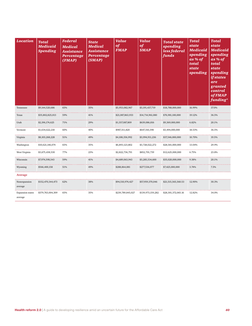| <b>Location</b>                    | <b>Total</b><br><b>Medicaid</b><br><b>Spending</b> | <b>Federal</b><br><b>Medical</b><br><b>Assistance</b><br>Percentage<br>(FMAP) | <b>State</b><br><b>Medical</b><br><b>Assistance</b><br>Percentage<br>(SMAP) | <b>Value</b><br>of<br><b>FMAP</b> | <b>Value</b><br>of<br><b>SMAP</b> | <b>Total state</b><br>spending<br>less federal<br>funds | <b>Total</b><br><b>state</b><br><b>Medicaid</b><br>spending<br>as % of<br>total<br><b>state</b><br>spending | <b>Total</b><br><b>state</b><br><b>Medicaid</b><br>spending<br>as % of<br>total<br>state<br>spending<br><i>if states</i><br>are<br>granted<br>control<br><b>of FMAP</b><br>funding* |
|------------------------------------|----------------------------------------------------|-------------------------------------------------------------------------------|-----------------------------------------------------------------------------|-----------------------------------|-----------------------------------|---------------------------------------------------------|-------------------------------------------------------------------------------------------------------------|-------------------------------------------------------------------------------------------------------------------------------------------------------------------------------------|
| Tennessee                          | \$9,144,520,686                                    | 65%                                                                           | 35%                                                                         | \$5,953,082,967                   | \$3,191,437,719                   | \$18,788,000,000                                        | 16.99%                                                                                                      | 37.0%                                                                                                                                                                               |
| Texas                              | \$35,802,825,013                                   | 59%<br>.                                                                      | 41%                                                                         | \$21,087,863,933                  | \$14,714,961,080                  | \$76,981,100,000                                        | 19.12%                                                                                                      | 36.5%                                                                                                                                                                               |
| Utah                               | \$2,196,174,625                                    | 71%                                                                           | 29%                                                                         | \$1,557,087,809                   | \$639,086,816                     | \$9,369,000,000                                         | 6.82%                                                                                                       | 20.1%                                                                                                                                                                               |
| Vermont                            | \$1,634,622,218                                    | 60%                                                                           | 40%                                                                         | \$987,311,820                     | \$647,310,398                     | \$3,494,000,000                                         | 18.53%                                                                                                      | 36.5%                                                                                                                                                                               |
| Virginia                           | \$8,103,268,228                                    | 51%                                                                           | 49%                                                                         | \$4,108,356,992                   | \$3,994,911,236                   | \$37,346,000,000                                        | 10.70%                                                                                                      | 19.5%                                                                                                                                                                               |
| Washington                         | \$10,621,146,074                                   | 65%                                                                           | 35%                                                                         | \$6,893,123,802                   | \$3,728,022,272                   | \$28,581,000,000                                        | 13.04%                                                                                                      | 29.9%                                                                                                                                                                               |
| West Virginia                      | \$3,675,438,530                                    | 77%                                                                           | 23%                                                                         | \$2,822,736,791                   | \$852,701,739                     | \$12,625,000,000                                        | 6.75%                                                                                                       | 23.8%                                                                                                                                                                               |
| Wisconsin                          | \$7,974,598,543                                    | 59%                                                                           | 41%                                                                         | \$4,689,063,943                   | \$3,285,534,600                   | \$35,020,000,000                                        | 9.38%                                                                                                       | 20.1%                                                                                                                                                                               |
| Wyoming                            | \$566,400,158                                      | 51%                                                                           | 49%                                                                         | \$288,864,081                     | \$277,536,077                     | \$7,425,000,000                                         | 3.74%                                                                                                       | 7.3%                                                                                                                                                                                |
| Average                            |                                                    |                                                                               |                                                                             |                                   |                                   |                                                         |                                                                                                             |                                                                                                                                                                                     |
| Nonexpansion<br>average            | \$152,470,344,473                                  | 62%                                                                           | 38%                                                                         | \$94,510,974,427                  | \$57,959,370,046                  | \$21,515,565,560.53                                     | 12.90%                                                                                                      | 30.3%                                                                                                                                                                               |
| <b>Expansion</b> states<br>average | \$379,763,004,309                                  | 65%                                                                           | 35%                                                                         | \$239,789,845,027                 | \$139,973,159,282                 | \$28,301,372,065.16                                     | 12.82%                                                                                                      | 34.0%                                                                                                                                                                               |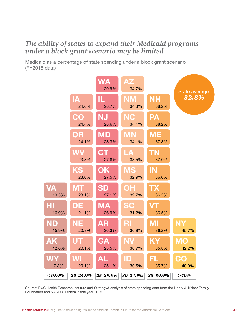# *The ability of states to expand their Medicaid programs under a block grant scenario may be limited*

Medicaid as a percentage of state spending under a block grant scenario (FY2015 data)



Source: PwC Health Research Institute and Strategy& analysis of state spending data from the Henry J. Kaiser Family Foundation and NASBO. Federal fiscal year 2015.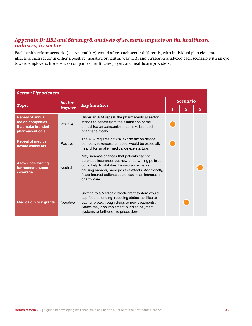### *Appendix D: HRI and Strategy& analysis of scenario impacts on the healthcare industry, by sector*

Each health-reform scenario (see Appendix A) would affect each sector differently, with individual plan elements affecting each sector in either a positive, negative or neutral way. HRI and Strategy& analyzed each scenario with an eye toward employers, life sciences companies, healthcare payers and healthcare providers.

| <b>Sector: Life sciences</b>                                                        |               |                                                                                                                                                                                                                                                                                  |                 |  |   |  |  |  |
|-------------------------------------------------------------------------------------|---------------|----------------------------------------------------------------------------------------------------------------------------------------------------------------------------------------------------------------------------------------------------------------------------------|-----------------|--|---|--|--|--|
|                                                                                     | <b>Sector</b> |                                                                                                                                                                                                                                                                                  | <b>Scenario</b> |  |   |  |  |  |
| <b>Topic</b>                                                                        | impact        | <b>Explanation</b>                                                                                                                                                                                                                                                               |                 |  | 3 |  |  |  |
| <b>Repeal of annual</b><br>fee on companies<br>that make branded<br>pharmaceuticals | Positive      | Under an ACA repeal, the pharmaceutical sector<br>stands to benefit from the elimination of the<br>annual fee on companies that make branded<br>pharmaceuticals.                                                                                                                 |                 |  |   |  |  |  |
| <b>Repeal of medical</b><br>device excise tax                                       | Positive      | The ACA requires a 2.3% excise tax on device<br>company revenues. Its repeal would be especially<br>helpful for smaller medical device startups.                                                                                                                                 |                 |  |   |  |  |  |
| <b>Allow underwriting</b><br>for noncontinuous<br>coverage                          | Neutral       | May increase chances that patients cannot<br>purchase insurance, but new underwriting policies<br>could help to stabilize the insurance market,<br>causing broader, more positive effects. Additionally,<br>fewer insured patients could lead to an increase in<br>charity care. |                 |  |   |  |  |  |
| <b>Medicaid block grants</b>                                                        | Negative      | Shifting to a Medicaid block-grant system would<br>cap federal funding, reducing states' abilities to<br>pay for breakthrough drugs or new treatments.<br>States may also implement bundled payment<br>systems to further drive prices down.                                     |                 |  |   |  |  |  |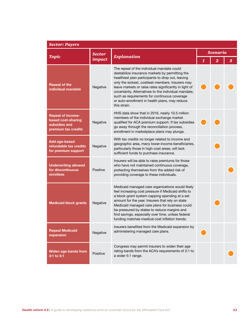| <b>Sector: Payers</b>                                                                  |               |                                                                                                                                                                                                                                                                                                                                                                                                                                             |              |                         |   |  |  |
|----------------------------------------------------------------------------------------|---------------|---------------------------------------------------------------------------------------------------------------------------------------------------------------------------------------------------------------------------------------------------------------------------------------------------------------------------------------------------------------------------------------------------------------------------------------------|--------------|-------------------------|---|--|--|
| <b>Topic</b>                                                                           | <b>Sector</b> | <b>Explanation</b>                                                                                                                                                                                                                                                                                                                                                                                                                          |              | <b>Scenario</b>         |   |  |  |
|                                                                                        | impact        |                                                                                                                                                                                                                                                                                                                                                                                                                                             | $\mathbf{1}$ | $\overline{\mathbf{2}}$ | 3 |  |  |
| <b>Repeal of the</b><br>individual mandate                                             | Negative      | The repeal of the individual mandate could<br>destabilize insurance markets by permitting the<br>healthiest plan participants to drop out, leaving<br>only the sickest, costliest members. Insurers may<br>leave markets or raise rates significantly in light of<br>uncertainty. Alternatives to the individual mandate,<br>such as requirements for continuous coverage<br>or auto-enrollment in health plans, may reduce<br>this strain. |              |                         |   |  |  |
| <b>Repeal of income-</b><br>based cost-sharing<br>subsidies and<br>premium tax credits | Negative      | HHS data show that in 2016, nearly 10.5 million<br>members of the individual exchange market<br>qualified for ACA premium support. If tax subsidies<br>go away through the reconciliation process,<br>enrollment in marketplace plans may plunge.                                                                                                                                                                                           |              |                         |   |  |  |
| <b>Add age-based</b><br>refundable tax credits<br>for premium support                  | Negative      | With tax credits no longer related to income and<br>geographic area, many lower-income beneficiaries,<br>particularly those in high-cost areas, will lack<br>sufficient funds to purchase insurance.                                                                                                                                                                                                                                        |              |                         |   |  |  |
| <b>Underwriting allowed</b><br>for discontinuous<br>enrollees                          | Positive      | Insurers will be able to raise premiums for those<br>who have not maintained continuous coverage,<br>protecting themselves from the added risk of<br>providing coverage to these individuals.                                                                                                                                                                                                                                               |              |                         |   |  |  |
| <b>Medicaid block grants</b>                                                           | Negative      | Medicaid managed care organizations would likely<br>feel increasing cost pressure if Medicaid shifts to<br>a block-grant system capping spending at a set<br>amount for the year. Insurers that rely on state<br>Medicaid managed care plans for business could<br>be pressured by states to reduce margins and<br>find savings, especially over time, unless federal<br>funding matches medical cost inflation trends.                     |              |                         |   |  |  |
| <b>Repeal Medicaid</b><br>expansion                                                    | Negative      | Insurers benefited from the Medicaid expansion by<br>administering managed care plans.                                                                                                                                                                                                                                                                                                                                                      |              |                         |   |  |  |
| Widen age bands from<br>3:1 to 5:1                                                     | Positive      | Congress may permit insurers to widen their age<br>rating bands from the ACA's requirements of 3:1 to<br>a wider 5:1 range.                                                                                                                                                                                                                                                                                                                 |              |                         |   |  |  |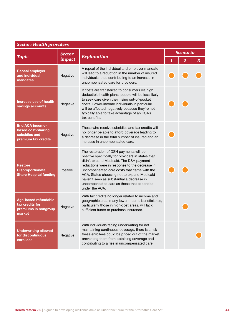|                                                                                      | <b>Sector: Health providers</b> |                                                                                                                                                                                                                                                                                                                                                                                                      |              |                         |   |  |  |  |
|--------------------------------------------------------------------------------------|---------------------------------|------------------------------------------------------------------------------------------------------------------------------------------------------------------------------------------------------------------------------------------------------------------------------------------------------------------------------------------------------------------------------------------------------|--------------|-------------------------|---|--|--|--|
|                                                                                      | <b>Sector</b>                   |                                                                                                                                                                                                                                                                                                                                                                                                      |              | <b>Scenario</b>         |   |  |  |  |
| <b>Topic</b>                                                                         | impact                          | <b>Explanation</b>                                                                                                                                                                                                                                                                                                                                                                                   | $\mathbf{1}$ | $\overline{\mathbf{2}}$ | 3 |  |  |  |
| <b>Repeal employer</b><br>and individual<br>mandates                                 | Negative                        | A repeal of the individual and employer mandate<br>will lead to a reduction in the number of insured<br>individuals, thus contributing to an increase in<br>uncompensated care for providers.                                                                                                                                                                                                        |              |                         |   |  |  |  |
| Increase use of health<br>savings accounts                                           | Negative                        | If costs are transferred to consumers via high<br>deductible health plans, people will be less likely<br>to seek care given their rising out-of-pocket<br>costs. Lower-income individuals in particular<br>will be affected negatively because they're not<br>typically able to take advantage of an HSA's<br>tax benefits.                                                                          |              |                         |   |  |  |  |
| <b>End ACA income-</b><br>based cost-sharing<br>subsidies and<br>premium tax credits | Negative                        | Those who receive subsidies and tax credits will<br>no longer be able to afford coverage leading to<br>a decrease in the total number of insured and an<br>increase in uncompensated care.                                                                                                                                                                                                           |              |                         |   |  |  |  |
| <b>Restore</b><br><b>Disproportionate</b><br><b>Share Hospital funding</b>           | Positive                        | The restoration of DSH payments will be<br>positive specifically for providers in states that<br>didn't expand Medicaid. The DSH payment<br>reductions were in response to the decrease in<br>uncompensated care costs that came with the<br>ACA. States choosing not to expand Medicaid<br>haven't seen as substantial a decrease in<br>uncompensated care as those that expanded<br>under the ACA. |              |                         |   |  |  |  |
| <b>Age-based refundable</b><br>tax credits for<br>premiums in nongroup<br>market     | Negative                        | With tax credits no longer related to income and<br>geographic area, many lower-income beneficiaries,<br>particularly those in high-cost areas, will lack<br>sufficient funds to purchase insurance.                                                                                                                                                                                                 |              |                         |   |  |  |  |
| <b>Underwriting allowed</b><br>for discontinuous<br>enrollees                        | Negative                        | With individuals facing underwriting for not<br>maintaining continuous coverage, there is a risk<br>these enrollees could be priced out of the market,<br>preventing them from obtaining coverage and<br>contributing to a rise in uncompensated care.                                                                                                                                               |              |                         |   |  |  |  |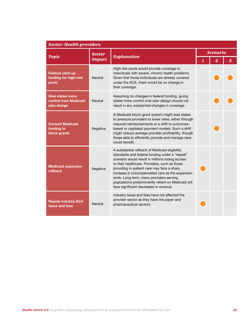| <b>Sector: Health providers</b>                                 |               |                                                                                                                                                                                                                                                                                                                                                                                                                                                  |  |                         |   |  |  |  |
|-----------------------------------------------------------------|---------------|--------------------------------------------------------------------------------------------------------------------------------------------------------------------------------------------------------------------------------------------------------------------------------------------------------------------------------------------------------------------------------------------------------------------------------------------------|--|-------------------------|---|--|--|--|
|                                                                 | <b>Sector</b> |                                                                                                                                                                                                                                                                                                                                                                                                                                                  |  | <b>Scenario</b>         |   |  |  |  |
| <b>Topic</b>                                                    | impact        | <b>Explanation</b>                                                                                                                                                                                                                                                                                                                                                                                                                               |  | $\overline{\mathbf{2}}$ | 3 |  |  |  |
| <b>Federal start-up</b><br>funding for high-risk<br>pools       | Neutral       | High-risk pools would provide coverage to<br>individuals with severe, chronic health problems.<br>Given that those individuals are already covered<br>under the ACA, there would be no change in<br>their coverage.                                                                                                                                                                                                                              |  |                         |   |  |  |  |
| <b>Give states more</b><br>control over Medicaid<br>plan design | Neutral       | Assuming no changes in federal funding, giving<br>states more control over plan design should not<br>result in any substantial changes in coverage.                                                                                                                                                                                                                                                                                              |  |                         |   |  |  |  |
| <b>Convert Medicaid</b><br>funding to<br>block grants           | Negative      | A Medicaid block-grant system might lead states<br>to pressure providers to lower rates, either through<br>reduced reimbursements or a shift to outcomes-<br>based or capitated payment models. Such a shift<br>might reduce average provider profitability, though<br>those able to efficiently provide and manage care<br>could benefit.                                                                                                       |  |                         |   |  |  |  |
| <b>Medicaid expansion</b><br>rollback                           | Negative      | A substantial rollback of Medicaid eligibility<br>standards and federal funding under a "repeal"<br>scenario would result in millions losing access<br>to their healthcare. Providers, such as those<br>providing in-patient care may face a sharp<br>increase in uncompensated care as the expansion<br>ends. Long term, many providers serving<br>populations predominantly reliant on Medicaid will<br>face significant decreases in revenue. |  |                         |   |  |  |  |
| <b>Repeal industry ACA</b><br>taxes and fees                    | Neutral       | Industry taxes and fees have not affected the<br>provider sector as they have the payer and<br>pharmaceutical sectors.                                                                                                                                                                                                                                                                                                                           |  |                         |   |  |  |  |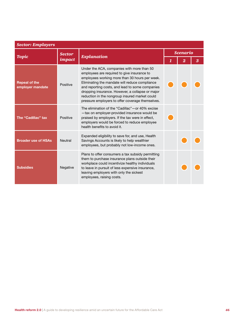| <b>Sector: Employers</b>                 |                         |                                                                                                                                                                                                                                                                                                                                                                                                            |  |                      |  |  |  |  |
|------------------------------------------|-------------------------|------------------------------------------------------------------------------------------------------------------------------------------------------------------------------------------------------------------------------------------------------------------------------------------------------------------------------------------------------------------------------------------------------------|--|----------------------|--|--|--|--|
| <b>Topic</b>                             | <b>Sector</b><br>impact | <b>Explanation</b>                                                                                                                                                                                                                                                                                                                                                                                         |  | <b>Scenario</b><br>3 |  |  |  |  |
| <b>Repeal of the</b><br>employer mandate | Positive                | Under the ACA, companies with more than 50<br>employees are required to give insurance to<br>employees working more than 30 hours per week.<br>Eliminating the mandate will reduce compliance<br>and reporting costs, and lead to some companies<br>dropping insurance. However, a collapse or major<br>reduction in the nongroup insured market could<br>pressure employers to offer coverage themselves. |  |                      |  |  |  |  |
| The "Cadillac" tax                       | Positive                | The elimination of the "Cadillac" - or 40% excise<br>-tax on employer-provided insurance would be<br>praised by employers. If the tax were in effect,<br>employers would be forced to reduce employee<br>health benefits to avoid it.                                                                                                                                                                      |  |                      |  |  |  |  |
| <b>Broader use of HSAs</b>               | Neutral                 | Expanded eligibility to save for, and use, Health<br>Savings Accounts is likely to help wealthier<br>employees, but probably not low-income ones.                                                                                                                                                                                                                                                          |  |                      |  |  |  |  |
| <b>Subsidies</b>                         | Negative                | Plans to offer consumers a tax subsidy permitting<br>them to purchase insurance plans outside their<br>workplace could incentivize healthy individuals<br>to leave in pursuit of less expensive insurance,<br>leaving employers with only the sickest<br>employees, raising costs.                                                                                                                         |  |                      |  |  |  |  |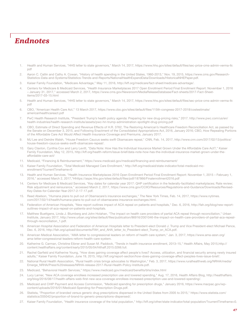# *Endnotes*

- 1. Health and Human Services, "HHS letter to state governors," March 14, 2017, https://www.hhs.gov/sites/default/files/sec-price-cms-admin-verma-ltr. pdf
- 2. Aaron C. Catlin and Cathy A. Cowan, "History of health spending in the United States, 1960-2013," Nov. 19, 2015, https://www.cms.gov/Research-Statistics-Data-and-Systems/Statistics-Trends-and-Reports/NationalHealthExpendData/Downloads/HistoricalNHEPaper.pdf.
- 3. Kaiser Family Foundation, "Medicare Advantage," May 11, 2016, http://kff.org/medicare/fact-sheet/medicare-advantage/.
- 4. Centers for Medicare & Medicaid Services, "Health Insurance Marketplaces 2017 Open Enrollment Period Final Enrollment Report: November 1, 2016 – January 31, 2017," accessed March 2, 2017, https://www.cms.gov/Newsroom/MediaReleaseDatabase/Fact-sheets/2017-Fact-Sheetitems/2017-03-15.html
- 5. Health and Human Services, "HHS letter to state governors," March 14, 2017, https://www.hhs.gov/sites/default/files/sec-price-cms-admin-verma-ltr. pdf
- 6. CBO, "American Health Care Act," 13 March 2017, https://www.cbo.gov/sites/default/files/115th-congress-2017-2018/costestimate/ americanhealthcareact.pdf
- 7. PwC Health Research Institute, "President Trump's health policy agenda: Preparing for new drug-pricing risks," 2017. http://www.pwc.com/us/en/ health-industries/health-research-institute/assets/pwc-hri-trump-administration-spotlight-drug-pricing.pdf
- 8. CBO, Estimate of Direct Spending and Revenue Effects of H.R. 3762, The Restoring American's Healthcare Freedom Reconciliation Act, as passed by the Senate on December 3, 2015, and Following Enactment of the Consolidated Appropriations Act, 2016, January 2016; CBO, How Repealing Portions of the Affordable Care Act Would Affect Health Insurance Coverage and Premiums, January 2017.
- 9. MJ Lee and Deirdre Walsh, "House Freedom Caucus seeks swift Obamacare repeal," CNN, Feb. 14, 2017, http://www.cnn.com/2017/02/13/politics/ house-freedom-caucus-seeks-swift-obamacare-repeal/.
- 10. Gary Claxton, Cynthia Cox and Larry Levitt, "Data Note: How Has the Individual Insurance Market Grown Under the Affordable Care Act?," Kaiser Family Foundation, May 12, 2015, http://kff.org/health-reform/issue-brief/data-note-how-has-the-individual-insurance-market-grown-under-theaffordable-care-act/
- 11. Medicaid, "Financing & Reimbursement," https://www.medicaid.gov/medicaid/financing-and-reimbursement/
- 12. Kaiser Family Foundation, "Total Medicaid Managed Care Enrollment," http://kff.org/medicaid/state-indicator/total-medicaid-mcenrollment/?currentTimeframe=0
- 13. Health and Human Services, "Health Insurance Marketplaces 2016 Open Enrollment Period Final Enrollment Report: November 1, 2015 February 1, 2016," accessed March 2, 2017,"Hhttps://aspe.hhs.gov/sites/default/files/pdf/187866/Finalenrollment2016.pdf
- Centers for Medicare & Medicaid Services, "Key dates for calendar year 2017: QHP certification in the federally-facilitated marketplaces; Rate review; Risk adjustment and reinsurance," accessed March 2, 2017, https://www.cms.gov/CCIIO/Resources/Regulations-and-Guidance/Downloads/Revised-Key-Dates-for-Calendar-Year-2017-2-17-17.pdf.
- 15. Reed Abelson, "Humana plans to pull out of Obamacare's insurance exchanges," The New York Times, Feb. 14, 2017, https://www.nytimes. com/2017/02/14/health/humana-plans-to-pull-out-of-obamacares-insurance-exchanges.html.
- 16. Federation of American Hospitals, "New report outlines impact of ACA repeal on patients and hospitals," Dec. 6, 2016, http://fah.org/blog/new-reportoutlines-impact-of-aca-repeal-on-patients-and-hospitals.
- 17. Matthew Buettgens, Linda J. Blumberg and John Holahan, "The impact on health care providers of partial ACA repeal through reconciliation," Urban Institute, January 2017, http://www.urban.org/sites/default/files/publication/86916/2001046-the-impact-on-health-care-providers-of-partial-aca-repealthrough-reconciliation\_1.pdf.
- 18. American Hospital Association and Federation of American Hospitals letter to President-elect Donald J. Trump and Vice President-elect Michael Pence, Dec. 6, 2016, http://fah.org/upload/documents/FAH\_and\_AHA\_letter\_to\_President-elect\_Trump\_on\_ACA.pdf.
- 19. American Medical Association, "AMA letter to congressional leaders on reform of health care system," Jan. 3, 2017, https://www.ama-assn.org/ ama-letter-congressional-leaders-reform-health-care-system.
- 20. Katherine G. Carman, Christine Eibner and Susan M. Paddock, "Trends in health insurance enrollment, 2013–15," Health Affairs, May 2015,http:// content.healthaffairs.org/content/early/2015/05/04/hlthaff.2015.0266.full.
- 21. Rachel Garfield and Katherine Young, "How does gaining coverage affect people's lives? Access, utilization, and financial security among newly insured adults," Kaiser Family Foundation, June 19, 2015, http://kff.org/report-section/how-does-gaining-coverage-affect-peoples-lives-issue-brief/.
- 22. National Rural Health Association, "Rural health crisis brings advocates to Washington," Feb. 3, 2017, https://www.ruralhealthweb.org/NRHA/media/ Emerge\_NRHA/Press%20releases/NRHA-release-2017-Rural-Health-Policy-Institute.pdf.
- 23. Medicaid, "Behavioral Health Services," https://www.medicaid.gov/medicaid/benefits/bhs/index.html
- 24. Lucy Larner, "New ACA coverage enrollees increased prescription use and lowered spending," Aug. 17, 2016, Health Affairs Blog, http://healthaffairs. org/blog/2016/08/17/health-affairs-web-first-new-aca-coverage-enrollees-increased-prescription-use-and-lowered-spending/.
- 25. Medicaid and CHIP Payment and Access Commission, "Medicaid spending for prescription drugs," January 2016, https://www.macpac.gov/wpcontent/uploads/2016/01/Medicaid-Spending-for-Prescription-Drugs.pdf.
- 26. Statista, "Proportion of branded versus generic drug prescriptions dispensed in the United States from 2005 to 2015," https://www.statista.com/ statistics/205042/proportion-of-brand-to-generic-prescriptions-dispensed/.
- 27. Kaiser Family Foundation, "Health insurance coverage of the total population," http://kff.org/other/state-indicator/total-population/?currentTimeframe=0.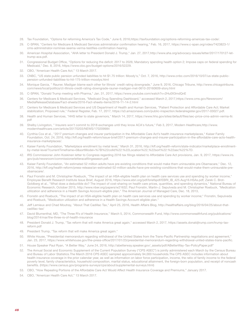- 28. Tax Foundation, "Options for reforming America's Tax Code," June 6, 2016,https://taxfoundation.org/options-reforming-americas-tax-code/.
- 29. C-SPAN, "Centers for Medicare & Medicaid Services administrator confirmation hearing," Feb. 16, 2017, https://www.c-span.org/video/?423823-1/ cms-administrator-nominee-seema-verma-testifies-confirmation-hearing.
- 30. American Hospital Association, "AHA letter to President Donald J. Trump," Jan. 27, 2017,http://www.aha.org/advocacy-issues/letter/2017/170127-lettrump-aca.pdf.
- 31. Congressional Budget Office, "Options for reducing the deficit: 2017 to 2026; Mandatory spending health option 2; Impose caps on federal spending for Medicaid," Dec. 8, 2016, https://www.cbo.gov/budget-options/2016/52229.
- 32. CBO, "American Health Care Act," 13 March 2017.
- 33. CNBC, "US state public pension unfunded liabilities to hit \$1.75 trillion: Moody's," Oct. 7, 2016, http://www.cnbc.com/2016/10/07/us-state-publicpension-unfunded-liabilities-to-hit-175-trillion-moodys.html
- 34. Monique Garcia, " Rauner, Madigan blame each other for Illinois' credit rating downgrade," June 9, 2016, Chicago Tribune, http://www.chicagotribune. com/news/local/politics/ct-illinois-credit-rating-downgrade-rauner-madigan-met-0610-20160609-story.html
- 35. C-SPAN, "Donald Trump meeting with Pharma," Jan. 31, 2017, https://www.youtube.com/watch?v=2Hu0X3mdQnE
- 36. Centers for Medicare & Medicaid Services, "Medicaid Drug Spending Dashboard," accessed March 2, 2017,https://www.cms.gov/Newsroom/ MediaReleaseDatabase/Fact-sheets/2016-Fact-sheets-items/2016-11-14-2.html
- 37. Centers for Medicare & Medicaid Services and US Department of Health and Human Services, "Patient Protection and Affordable Care Act; Market stabilization; Proposed rule," Federal Register, Feb. 17, 2017, https://s3.amazonaws.com/public-inspection.federalregister.gov/2017-03027.pdf.
- 38. Health and Human Services, "HHS letter to state governors," March 14, 2017, https://www.hhs.gov/sites/default/files/sec-price-cms-admin-verma-ltr. pdf
- 39. Shelby Livingston, " Insurers won't commit to 2018 exchanges until they know ACA's future," Feb 3, 2017, Modern Healthcare,http://www. modernhealthcare.com/article/20170203/NEWS/170209984
- 40. Cynthia Cox et al., "2017 premium changes and insurer participation in the Affordable Care Act's health insurance marketplaces," Kaiser Family Foundation, Oct. 24, 2016, http://kff.org/health-reform/issue-brief/2017-premium-changes-and-insurer-participation-in-the-affordable-care-acts-healthinsurance-marketplaces/.
- 41. Kaiser Family Foundation, "Marketplace enrollment by metal level," March 31, 2016, http://kff.org/health-reform/state-indicator/marketplace-enrollmentby-metal-level/?currentTimeframe=0&sortModel=%7B%22colId%22:%22Location%22,%22sort%22:%22asc%22%7D.
- 42. IRS Commissioner John Koskinen letter to Congress regarding 2016 tax filings related to Affordable Care Act provisions, Jan. 9, 2017, https://www.irs. gov/pub/newsroom/commissionerletteracafilingseason.pdf.
- 43. Kaiser Family Foundation, "An estimated 52 million adults have pre-existing conditions that would make them uninsurable pre-Obamacare," Dec. 12, 2016, http://kff.org/health-reform/press-release/an-estimated-52-million-adults-have-pre-existing-conditions-that-would-make-them-uninsurable-preobamacare/.
- 44. Paul Fronstin and M. Christopher Roebuck, "The impact of an HSA-eligible health plan on health care services use and spending by worker income," Employee Benefit Research Institute Issue Brief, August 2016, https://www.ebri.org/pdf/briefspdf/EBRI\_IB\_425.Aug16.HSAs.pdf; Zarek C. Brot-Goldberg et al., "What does a deductible do? The impact of cost-sharing on health care prices, quantities, and spending dynamics," National Bureau of Economic Research, October 2015, http://www.nber.org/papers/w21632; Paul Fronstin, Martin-J. Sepulveda and M. Christopher Roebuck, "Medication utilization and adherence in a Health Savings Account-eligible plan," The American Journal of Managed Care, Dec. 18, 2013,
- 45. Fronstin and Roebuck, "The impact of an HSA-eligible health plan on health care services use and spending by worker income;" Fronstin, Sepulveda and Roebuck, "Medication utilization and adherence in a Health Savings Account-eligible plan."
- 46. Jeff Lemieux and Chad Moutray, "About That Cadillac Tax," April 25, 2016, Health Affairs Blog, http://healthaffairs.org/blog/2016/04/25/about-thatcadillac-tax/
- 47. David Blumenthal, MD, "The Three R's of Health Insurance," March 5, 2014, Commonwealth Fund, http://www.commonwealthfund.org/publications/ blog/2014/mar/the-three-rs-of-health-insurance
- 48. President Donald J. Trump, "Tax reform that will make America great again," accessed March 2, 2017, https://assets.donaldjtrump.com/trump-taxreform.pdf
- 49. President Trump, "Tax reform that will make America great again."
- 50. White House, "Presidential memorandum regarding withdrawal of the United States from the Trans-Pacific Partnership negotiations and agreement," Jan. 23, 2017, https://www.whitehouse.gov/the-press-office/2017/01/23/presidential-memorandum-regarding-withdrawal-united-states-trans-pacific.
- 51. House Speaker Paul Ryan, "A Better Way," June 24, 2016, http://abetterway.speaker.gov/\_assets/pdf/ABetterWay-Tax-PolicyPaper.pdf"
- 52. The Annual Social and Economic Supplement of the Current Population Survey ("CPS ASEC") is jointly administered each March by the Census Bureau and Bureau of Labor Statistics.The March 2016 CPS ASEC sampled approximately 94,000 households.The CPS ASEC includes information about health insurance coverage in the prior calendar year, as well as information on labor force participation, income, the ratio of family income to the federal poverty level, family characteristics, household composition, marital status, educational attainment, the foreign-born population, and receipt of noncash benefits. (https://www.census.gov/programs-surveys/cps/about/supplemental-surveys.html)
- 53. CBO, "How Repealing Portions of the Affordable Care Act Would Affect Health Insurance Coverage and Premiums," January 2017.
- 54. CBO, "American Health Care Act," 13 March 2017.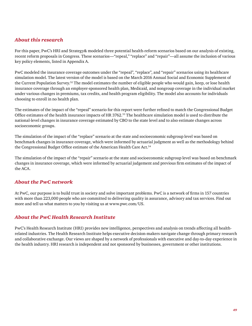### *About this research*

For this paper, PwC's HRI and Strategy& modeled three potential health-reform scenarios based on our analysis of existing, recent reform proposals in Congress. These scenarios—"repeal," "replace" and "repair"—all assume the inclusion of various key policy elements, listed in Appendix A.

PwC modeled the insurance coverage outcomes under the "repeal", "replace", and "repair" scenarios using its healthcare simulation model. The latest version of the model is based on the March 2016 Annual Social and Economic Supplement of the Current Population Survey.52 The model estimates the number of eligible people who would gain, keep, or lose health insurance coverage through an employer-sponsored health plan, Medicaid, and nongroup coverage in the individual market under various changes in premiums, tax credits, and health program eligibility. The model also accounts for individuals choosing to enroll in no health plan.

The estimates of the impact of the "repeal" scenario for this report were further refined to match the Congressional Budget Office estimates of the health insurance impacts of HR 3762.53 The healthcare simulation model is used to distribute the national-level changes in insurance coverage estimated by CBO to the state level and to also estimate changes across socioeconomic groups.

The simulation of the impact of the "replace" scenario at the state and socioeconomic subgroup level was based on benchmark changes in insurance coverage, which were informed by actuarial judgment as well as the methodology behind the Congressional Budget Office estimate of the American Health Care Act.<sup>54</sup>

The simulation of the impact of the "repair" scenario at the state and socioeconomic subgroup level was based on benchmark changes in insurance coverage, which were informed by actuarial judgement and previous firm estimates of the impact of the ACA.

### *About the PwC network*

At PwC, our purpose is to build trust in society and solve important problems. PwC is a network of firms in 157 countries with more than 223,000 people who are committed to delivering quality in assurance, advisory and tax services. Find out more and tell us what matters to you by visiting us at www.pwc.com/US.

### *About the PwC Health Research Institute*

PwC's Health Research Institute (HRI) provides new intelligence, perspectives and analysis on trends affecting all healthrelated industries. The Health Research Institute helps executive decision-makers navigate change through primary research and collaborative exchange. Our views are shaped by a network of professionals with executive and day-to-day experience in the health industry. HRI research is independent and not sponsored by businesses, government or other institutions.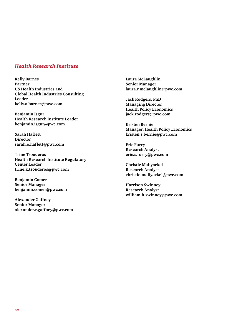### *Health Research Institute*

**Kelly Barnes Partner US Health Industries and Global Health Industries Consulting Leader kelly.a.barnes@pwc.com**

**Benjamin Isgur Health Research Institute Leader benjamin.isgur@pwc.com**

**Sarah Haflett Director sarah.e.haflett@pwc.com**

**Trine Tsouderos Health Research Institute Regulatory Center Leader trine.k.tsouderos@pwc.com**

**Benjamin Comer Senior Manager benjamin.comer@pwc.com**

**Alexander Gaffney Senior Manager alexander.r.gaffney@pwc.com** **Laura McLaughlin Senior Manager laura.r.mclaughlin@pwc.com**

**Jack Rodgers, PhD Managing Director Health Policy Economics jack.rodgers@pwc.com**

**Kristen Bernie Manager, Health Policy Economics kristen.s.bernie@pwc.com**

**Eric Furry Research Analyst eric.s.furry@pwc.com**

**Christie Maliyackel Research Analyst christie.maliyackel@pwc.com** 

**Harrison Swinney Research Analyst william.h.swinney@pwc.com**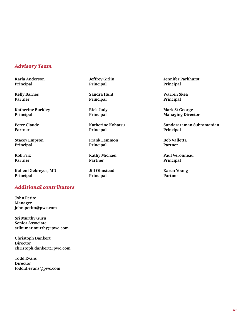### *Advisory Team*

**Karla Anderson Principal**

**Kelly Barnes Partner**

**Katherine Buckley Principal**

**Peter Claude Partner**

**Stacey Empson Principal**

**Rob Friz Partner**

**Kulleni Gebreyes, MD Principal**

### *Additional contributors*

**John Petito Manager john.petito@pwc.com**

**Sri Murthy Guru Senior Associate srikumar.murthy@pwc.com**

**Christoph Dankert Director christoph.dankert@pwc.com**

**Todd Evans Director todd.d.evans@pwc.com**

**Jeffrey Gitlin Principal**

**Sandra Hunt Principal**

**Rick Judy Principal**

**Katherine Kohatsu Principal**

**Frank Lemmon Principal**

**Kathy Michael Partner**

**Jill Olmstead Principal**

**Jennifer Parkhurst Principal**

**Warren Skea Principal**

**Mark St George Managing Director**

**Sundararaman Subramanian Principal**

**Bob Valletta Partner**

**Paul Veronneau Principal**

**Karen Young Partner**